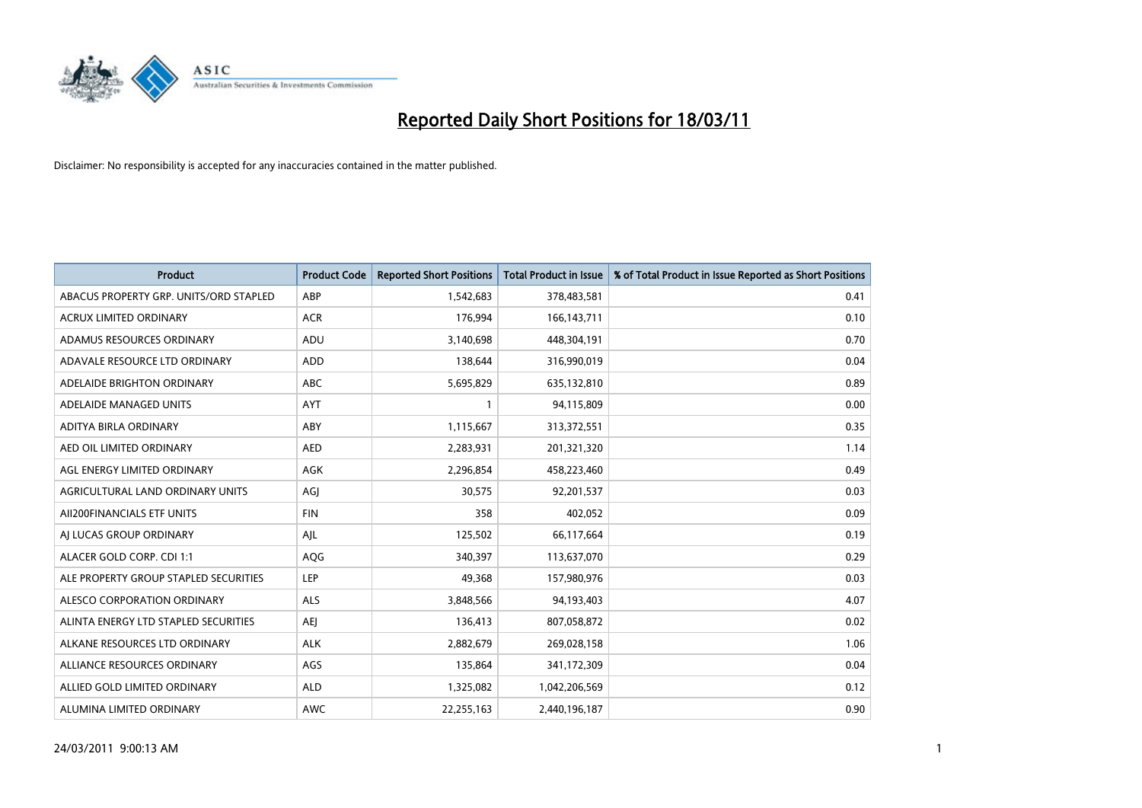

| <b>Product</b>                         | <b>Product Code</b> | <b>Reported Short Positions</b> | <b>Total Product in Issue</b> | % of Total Product in Issue Reported as Short Positions |
|----------------------------------------|---------------------|---------------------------------|-------------------------------|---------------------------------------------------------|
| ABACUS PROPERTY GRP. UNITS/ORD STAPLED | ABP                 | 1,542,683                       | 378,483,581                   | 0.41                                                    |
| ACRUX LIMITED ORDINARY                 | <b>ACR</b>          | 176,994                         | 166, 143, 711                 | 0.10                                                    |
| ADAMUS RESOURCES ORDINARY              | ADU                 | 3,140,698                       | 448,304,191                   | 0.70                                                    |
| ADAVALE RESOURCE LTD ORDINARY          | <b>ADD</b>          | 138,644                         | 316,990,019                   | 0.04                                                    |
| ADELAIDE BRIGHTON ORDINARY             | <b>ABC</b>          | 5,695,829                       | 635,132,810                   | 0.89                                                    |
| ADELAIDE MANAGED UNITS                 | <b>AYT</b>          |                                 | 94,115,809                    | 0.00                                                    |
| ADITYA BIRLA ORDINARY                  | ABY                 | 1,115,667                       | 313,372,551                   | 0.35                                                    |
| AED OIL LIMITED ORDINARY               | <b>AED</b>          | 2,283,931                       | 201,321,320                   | 1.14                                                    |
| AGL ENERGY LIMITED ORDINARY            | AGK                 | 2,296,854                       | 458,223,460                   | 0.49                                                    |
| AGRICULTURAL LAND ORDINARY UNITS       | AGJ                 | 30,575                          | 92,201,537                    | 0.03                                                    |
| AII200FINANCIALS ETF UNITS             | <b>FIN</b>          | 358                             | 402,052                       | 0.09                                                    |
| AI LUCAS GROUP ORDINARY                | AJL                 | 125,502                         | 66,117,664                    | 0.19                                                    |
| ALACER GOLD CORP. CDI 1:1              | <b>AQG</b>          | 340,397                         | 113,637,070                   | 0.29                                                    |
| ALE PROPERTY GROUP STAPLED SECURITIES  | LEP                 | 49,368                          | 157,980,976                   | 0.03                                                    |
| ALESCO CORPORATION ORDINARY            | <b>ALS</b>          | 3,848,566                       | 94,193,403                    | 4.07                                                    |
| ALINTA ENERGY LTD STAPLED SECURITIES   | <b>AEI</b>          | 136,413                         | 807,058,872                   | 0.02                                                    |
| ALKANE RESOURCES LTD ORDINARY          | <b>ALK</b>          | 2,882,679                       | 269,028,158                   | 1.06                                                    |
| ALLIANCE RESOURCES ORDINARY            | AGS                 | 135,864                         | 341,172,309                   | 0.04                                                    |
| ALLIED GOLD LIMITED ORDINARY           | <b>ALD</b>          | 1,325,082                       | 1,042,206,569                 | 0.12                                                    |
| ALUMINA LIMITED ORDINARY               | <b>AWC</b>          | 22,255,163                      | 2,440,196,187                 | 0.90                                                    |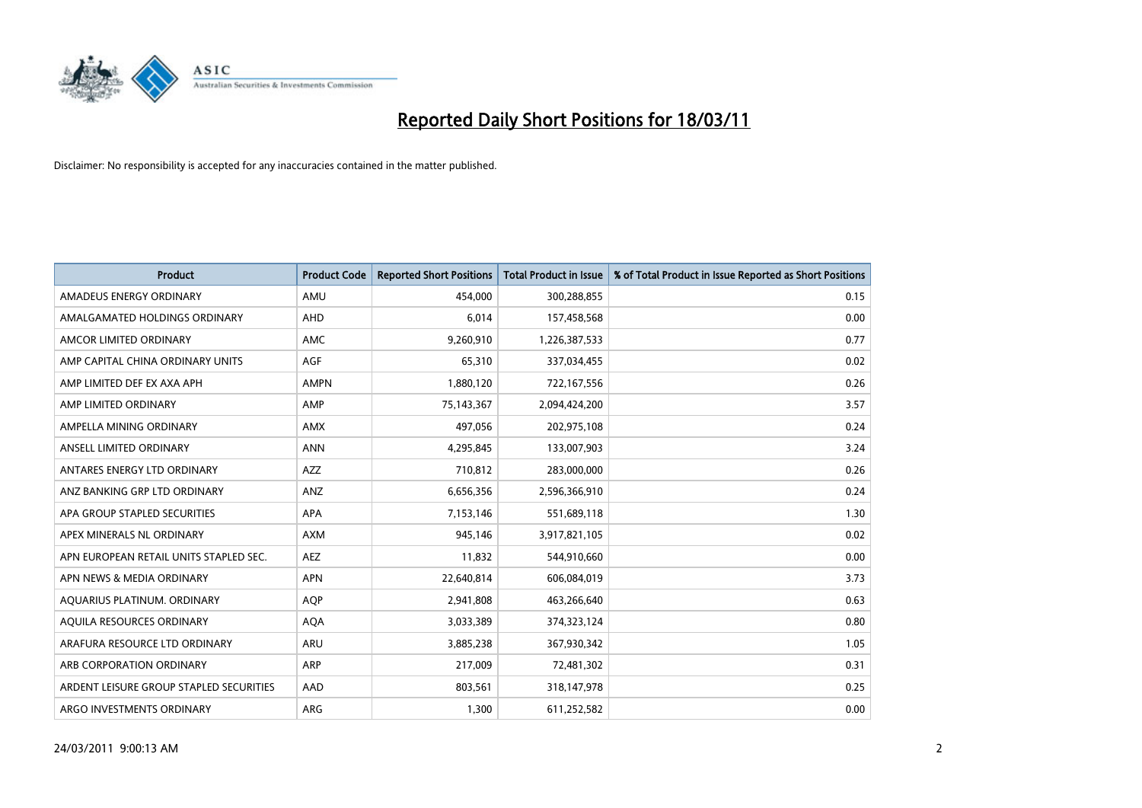

| <b>Product</b>                          | <b>Product Code</b> | <b>Reported Short Positions</b> | <b>Total Product in Issue</b> | % of Total Product in Issue Reported as Short Positions |
|-----------------------------------------|---------------------|---------------------------------|-------------------------------|---------------------------------------------------------|
| AMADEUS ENERGY ORDINARY                 | AMU                 | 454,000                         | 300,288,855                   | 0.15                                                    |
| AMALGAMATED HOLDINGS ORDINARY           | AHD                 | 6,014                           | 157,458,568                   | 0.00                                                    |
| AMCOR LIMITED ORDINARY                  | <b>AMC</b>          | 9,260,910                       | 1,226,387,533                 | 0.77                                                    |
| AMP CAPITAL CHINA ORDINARY UNITS        | <b>AGF</b>          | 65,310                          | 337,034,455                   | 0.02                                                    |
| AMP LIMITED DEF EX AXA APH              | <b>AMPN</b>         | 1,880,120                       | 722,167,556                   | 0.26                                                    |
| AMP LIMITED ORDINARY                    | AMP                 | 75,143,367                      | 2,094,424,200                 | 3.57                                                    |
| AMPELLA MINING ORDINARY                 | <b>AMX</b>          | 497,056                         | 202,975,108                   | 0.24                                                    |
| ANSELL LIMITED ORDINARY                 | <b>ANN</b>          | 4,295,845                       | 133,007,903                   | 3.24                                                    |
| ANTARES ENERGY LTD ORDINARY             | <b>AZZ</b>          | 710,812                         | 283,000,000                   | 0.26                                                    |
| ANZ BANKING GRP LTD ORDINARY            | ANZ                 | 6,656,356                       | 2,596,366,910                 | 0.24                                                    |
| APA GROUP STAPLED SECURITIES            | <b>APA</b>          | 7,153,146                       | 551,689,118                   | 1.30                                                    |
| APEX MINERALS NL ORDINARY               | <b>AXM</b>          | 945,146                         | 3,917,821,105                 | 0.02                                                    |
| APN EUROPEAN RETAIL UNITS STAPLED SEC.  | <b>AEZ</b>          | 11,832                          | 544,910,660                   | 0.00                                                    |
| APN NEWS & MEDIA ORDINARY               | <b>APN</b>          | 22,640,814                      | 606,084,019                   | 3.73                                                    |
| AQUARIUS PLATINUM. ORDINARY             | <b>AOP</b>          | 2,941,808                       | 463,266,640                   | 0.63                                                    |
| AQUILA RESOURCES ORDINARY               | <b>AQA</b>          | 3,033,389                       | 374,323,124                   | 0.80                                                    |
| ARAFURA RESOURCE LTD ORDINARY           | <b>ARU</b>          | 3,885,238                       | 367,930,342                   | 1.05                                                    |
| ARB CORPORATION ORDINARY                | <b>ARP</b>          | 217,009                         | 72,481,302                    | 0.31                                                    |
| ARDENT LEISURE GROUP STAPLED SECURITIES | AAD                 | 803,561                         | 318,147,978                   | 0.25                                                    |
| ARGO INVESTMENTS ORDINARY               | ARG                 | 1,300                           | 611,252,582                   | 0.00                                                    |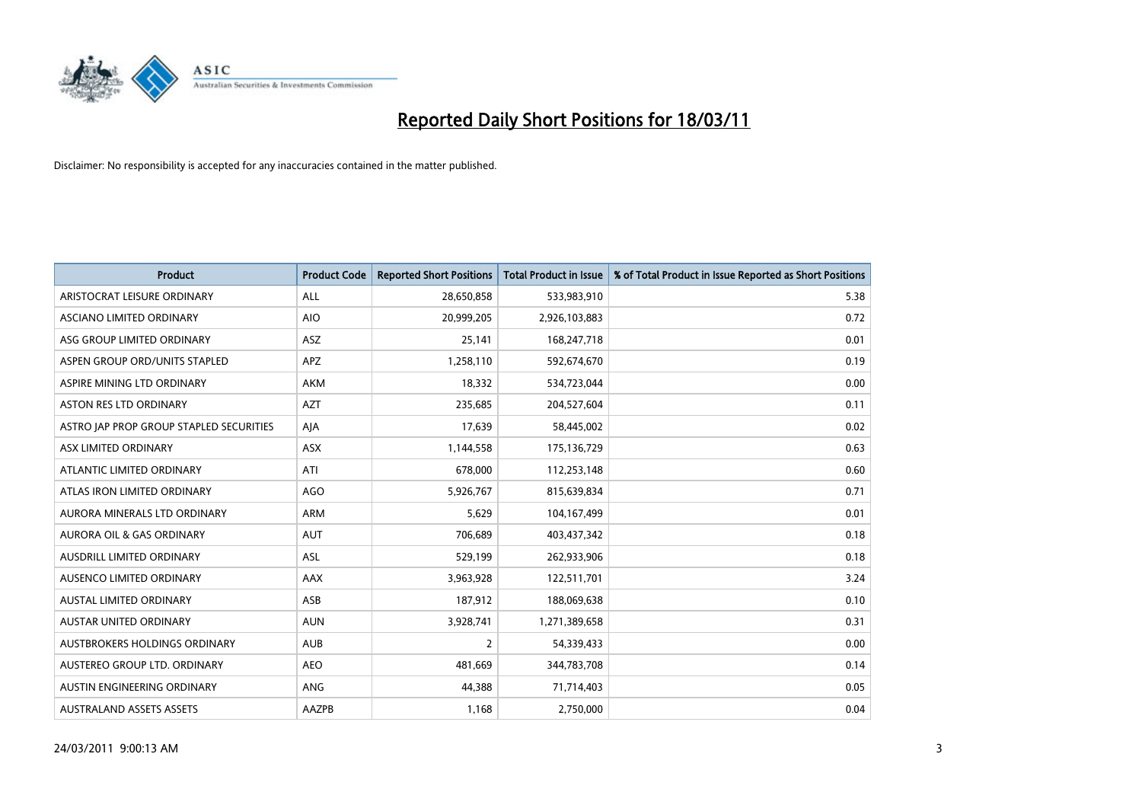

| <b>Product</b>                          | <b>Product Code</b> | <b>Reported Short Positions</b> | <b>Total Product in Issue</b> | % of Total Product in Issue Reported as Short Positions |
|-----------------------------------------|---------------------|---------------------------------|-------------------------------|---------------------------------------------------------|
| ARISTOCRAT LEISURE ORDINARY             | ALL                 | 28,650,858                      | 533,983,910                   | 5.38                                                    |
| ASCIANO LIMITED ORDINARY                | <b>AIO</b>          | 20,999,205                      | 2,926,103,883                 | 0.72                                                    |
| ASG GROUP LIMITED ORDINARY              | ASZ                 | 25,141                          | 168,247,718                   | 0.01                                                    |
| ASPEN GROUP ORD/UNITS STAPLED           | <b>APZ</b>          | 1,258,110                       | 592,674,670                   | 0.19                                                    |
| ASPIRE MINING LTD ORDINARY              | <b>AKM</b>          | 18,332                          | 534,723,044                   | 0.00                                                    |
| ASTON RES LTD ORDINARY                  | <b>AZT</b>          | 235,685                         | 204,527,604                   | 0.11                                                    |
| ASTRO JAP PROP GROUP STAPLED SECURITIES | AJA                 | 17,639                          | 58,445,002                    | 0.02                                                    |
| ASX LIMITED ORDINARY                    | <b>ASX</b>          | 1,144,558                       | 175,136,729                   | 0.63                                                    |
| ATLANTIC LIMITED ORDINARY               | ATI                 | 678,000                         | 112,253,148                   | 0.60                                                    |
| ATLAS IRON LIMITED ORDINARY             | <b>AGO</b>          | 5,926,767                       | 815,639,834                   | 0.71                                                    |
| AURORA MINERALS LTD ORDINARY            | <b>ARM</b>          | 5,629                           | 104,167,499                   | 0.01                                                    |
| AURORA OIL & GAS ORDINARY               | <b>AUT</b>          | 706,689                         | 403,437,342                   | 0.18                                                    |
| AUSDRILL LIMITED ORDINARY               | <b>ASL</b>          | 529,199                         | 262,933,906                   | 0.18                                                    |
| AUSENCO LIMITED ORDINARY                | AAX                 | 3,963,928                       | 122,511,701                   | 3.24                                                    |
| <b>AUSTAL LIMITED ORDINARY</b>          | ASB                 | 187,912                         | 188,069,638                   | 0.10                                                    |
| AUSTAR UNITED ORDINARY                  | <b>AUN</b>          | 3,928,741                       | 1,271,389,658                 | 0.31                                                    |
| AUSTBROKERS HOLDINGS ORDINARY           | <b>AUB</b>          | $\overline{2}$                  | 54,339,433                    | 0.00                                                    |
| AUSTEREO GROUP LTD. ORDINARY            | <b>AEO</b>          | 481,669                         | 344,783,708                   | 0.14                                                    |
| AUSTIN ENGINEERING ORDINARY             | ANG                 | 44,388                          | 71,714,403                    | 0.05                                                    |
| <b>AUSTRALAND ASSETS ASSETS</b>         | <b>AAZPB</b>        | 1,168                           | 2,750,000                     | 0.04                                                    |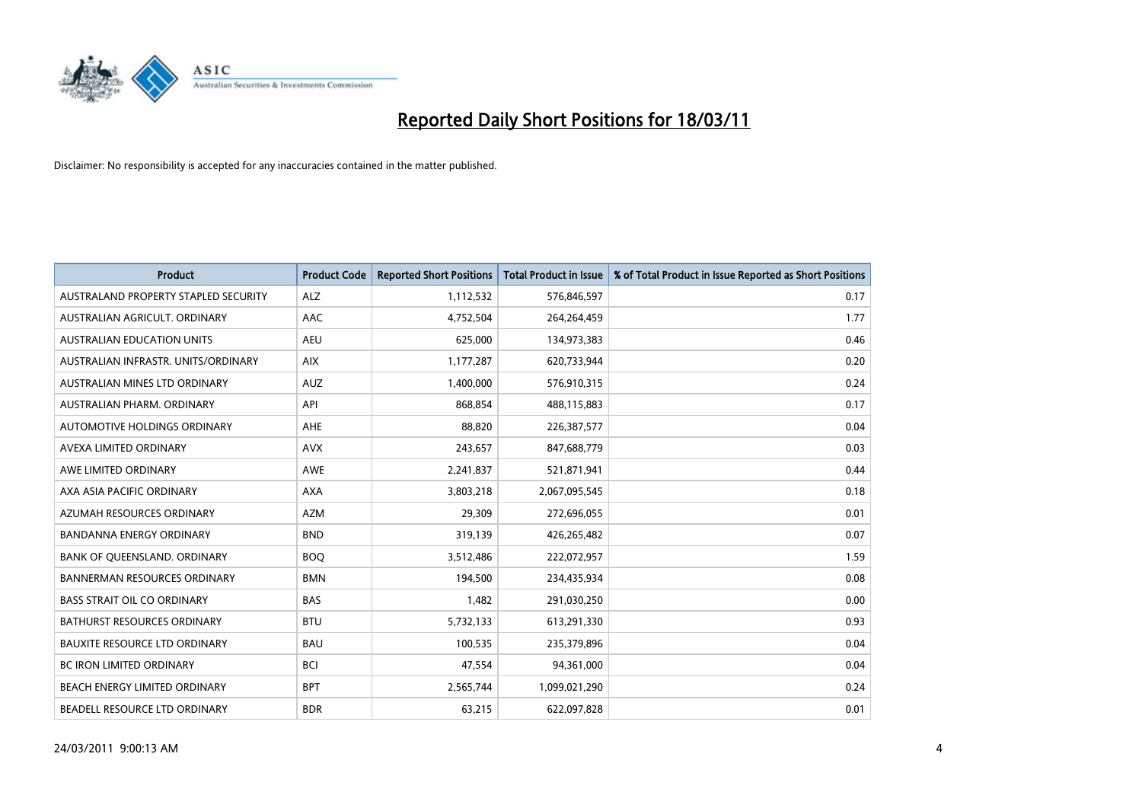

| <b>Product</b>                       | <b>Product Code</b> | <b>Reported Short Positions</b> | <b>Total Product in Issue</b> | % of Total Product in Issue Reported as Short Positions |
|--------------------------------------|---------------------|---------------------------------|-------------------------------|---------------------------------------------------------|
| AUSTRALAND PROPERTY STAPLED SECURITY | <b>ALZ</b>          | 1,112,532                       | 576,846,597                   | 0.17                                                    |
| AUSTRALIAN AGRICULT, ORDINARY        | AAC                 | 4,752,504                       | 264,264,459                   | 1.77                                                    |
| <b>AUSTRALIAN EDUCATION UNITS</b>    | <b>AEU</b>          | 625,000                         | 134,973,383                   | 0.46                                                    |
| AUSTRALIAN INFRASTR. UNITS/ORDINARY  | <b>AIX</b>          | 1,177,287                       | 620,733,944                   | 0.20                                                    |
| AUSTRALIAN MINES LTD ORDINARY        | <b>AUZ</b>          | 1,400,000                       | 576,910,315                   | 0.24                                                    |
| AUSTRALIAN PHARM, ORDINARY           | API                 | 868.854                         | 488,115,883                   | 0.17                                                    |
| AUTOMOTIVE HOLDINGS ORDINARY         | <b>AHE</b>          | 88.820                          | 226,387,577                   | 0.04                                                    |
| AVEXA LIMITED ORDINARY               | <b>AVX</b>          | 243,657                         | 847,688,779                   | 0.03                                                    |
| AWE LIMITED ORDINARY                 | <b>AWE</b>          | 2,241,837                       | 521,871,941                   | 0.44                                                    |
| AXA ASIA PACIFIC ORDINARY            | <b>AXA</b>          | 3,803,218                       | 2,067,095,545                 | 0.18                                                    |
| AZUMAH RESOURCES ORDINARY            | <b>AZM</b>          | 29,309                          | 272,696,055                   | 0.01                                                    |
| <b>BANDANNA ENERGY ORDINARY</b>      | <b>BND</b>          | 319,139                         | 426,265,482                   | 0.07                                                    |
| BANK OF QUEENSLAND. ORDINARY         | <b>BOO</b>          | 3,512,486                       | 222,072,957                   | 1.59                                                    |
| <b>BANNERMAN RESOURCES ORDINARY</b>  | <b>BMN</b>          | 194,500                         | 234,435,934                   | 0.08                                                    |
| <b>BASS STRAIT OIL CO ORDINARY</b>   | <b>BAS</b>          | 1,482                           | 291,030,250                   | 0.00                                                    |
| <b>BATHURST RESOURCES ORDINARY</b>   | <b>BTU</b>          | 5,732,133                       | 613,291,330                   | 0.93                                                    |
| <b>BAUXITE RESOURCE LTD ORDINARY</b> | <b>BAU</b>          | 100,535                         | 235,379,896                   | 0.04                                                    |
| <b>BC IRON LIMITED ORDINARY</b>      | <b>BCI</b>          | 47,554                          | 94,361,000                    | 0.04                                                    |
| BEACH ENERGY LIMITED ORDINARY        | <b>BPT</b>          | 2,565,744                       | 1,099,021,290                 | 0.24                                                    |
| BEADELL RESOURCE LTD ORDINARY        | <b>BDR</b>          | 63,215                          | 622,097,828                   | 0.01                                                    |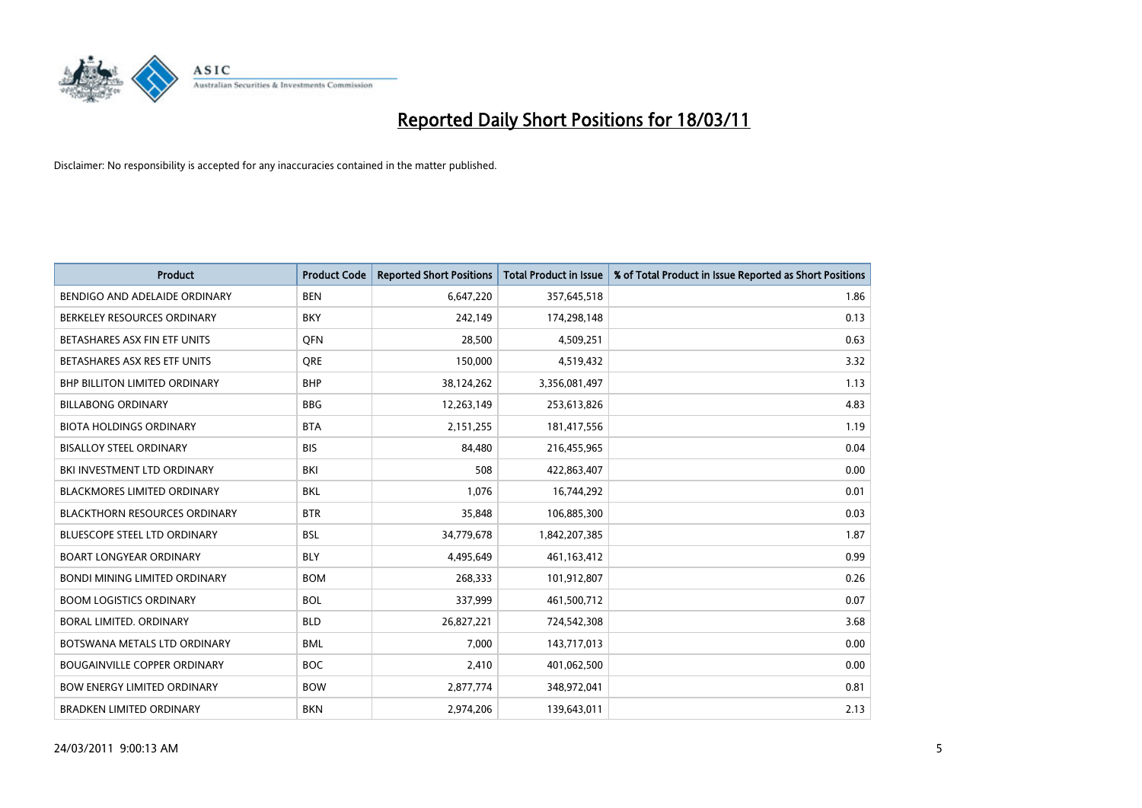

| Product                              | <b>Product Code</b> | <b>Reported Short Positions</b> | <b>Total Product in Issue</b> | % of Total Product in Issue Reported as Short Positions |
|--------------------------------------|---------------------|---------------------------------|-------------------------------|---------------------------------------------------------|
| BENDIGO AND ADELAIDE ORDINARY        | <b>BEN</b>          | 6,647,220                       | 357,645,518                   | 1.86                                                    |
| BERKELEY RESOURCES ORDINARY          | <b>BKY</b>          | 242,149                         | 174,298,148                   | 0.13                                                    |
| BETASHARES ASX FIN ETF UNITS         | <b>OFN</b>          | 28,500                          | 4,509,251                     | 0.63                                                    |
| BETASHARES ASX RES ETF UNITS         | <b>ORE</b>          | 150,000                         | 4,519,432                     | 3.32                                                    |
| BHP BILLITON LIMITED ORDINARY        | <b>BHP</b>          | 38,124,262                      | 3,356,081,497                 | 1.13                                                    |
| <b>BILLABONG ORDINARY</b>            | <b>BBG</b>          | 12,263,149                      | 253,613,826                   | 4.83                                                    |
| <b>BIOTA HOLDINGS ORDINARY</b>       | <b>BTA</b>          | 2,151,255                       | 181,417,556                   | 1.19                                                    |
| <b>BISALLOY STEEL ORDINARY</b>       | <b>BIS</b>          | 84,480                          | 216,455,965                   | 0.04                                                    |
| BKI INVESTMENT LTD ORDINARY          | <b>BKI</b>          | 508                             | 422,863,407                   | 0.00                                                    |
| <b>BLACKMORES LIMITED ORDINARY</b>   | <b>BKL</b>          | 1,076                           | 16,744,292                    | 0.01                                                    |
| <b>BLACKTHORN RESOURCES ORDINARY</b> | <b>BTR</b>          | 35,848                          | 106,885,300                   | 0.03                                                    |
| <b>BLUESCOPE STEEL LTD ORDINARY</b>  | <b>BSL</b>          | 34,779,678                      | 1,842,207,385                 | 1.87                                                    |
| <b>BOART LONGYEAR ORDINARY</b>       | <b>BLY</b>          | 4,495,649                       | 461,163,412                   | 0.99                                                    |
| <b>BONDI MINING LIMITED ORDINARY</b> | <b>BOM</b>          | 268.333                         | 101,912,807                   | 0.26                                                    |
| <b>BOOM LOGISTICS ORDINARY</b>       | <b>BOL</b>          | 337,999                         | 461,500,712                   | 0.07                                                    |
| <b>BORAL LIMITED, ORDINARY</b>       | <b>BLD</b>          | 26,827,221                      | 724,542,308                   | 3.68                                                    |
| BOTSWANA METALS LTD ORDINARY         | <b>BML</b>          | 7,000                           | 143,717,013                   | 0.00                                                    |
| <b>BOUGAINVILLE COPPER ORDINARY</b>  | <b>BOC</b>          | 2,410                           | 401,062,500                   | 0.00                                                    |
| <b>BOW ENERGY LIMITED ORDINARY</b>   | <b>BOW</b>          | 2,877,774                       | 348,972,041                   | 0.81                                                    |
| <b>BRADKEN LIMITED ORDINARY</b>      | <b>BKN</b>          | 2.974.206                       | 139,643,011                   | 2.13                                                    |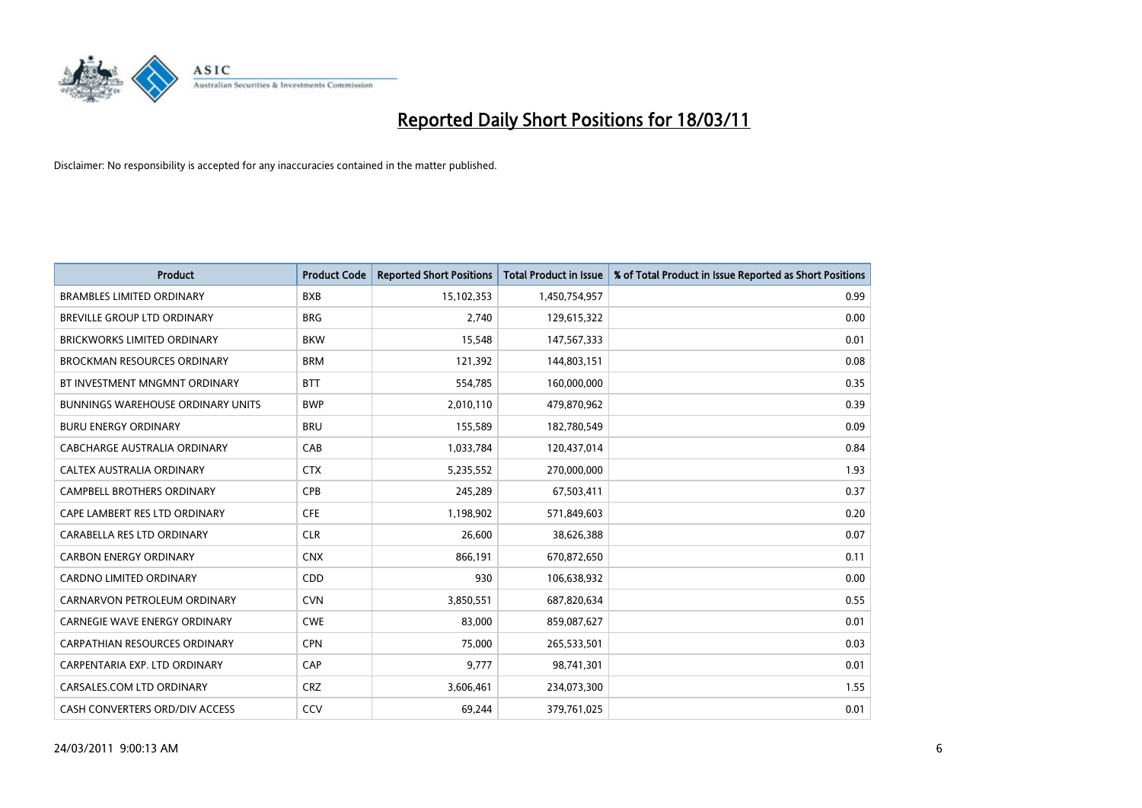

| <b>Product</b>                           | <b>Product Code</b> | <b>Reported Short Positions</b> | <b>Total Product in Issue</b> | % of Total Product in Issue Reported as Short Positions |
|------------------------------------------|---------------------|---------------------------------|-------------------------------|---------------------------------------------------------|
| <b>BRAMBLES LIMITED ORDINARY</b>         | <b>BXB</b>          | 15,102,353                      | 1,450,754,957                 | 0.99                                                    |
| BREVILLE GROUP LTD ORDINARY              | <b>BRG</b>          | 2,740                           | 129,615,322                   | 0.00                                                    |
| <b>BRICKWORKS LIMITED ORDINARY</b>       | <b>BKW</b>          | 15,548                          | 147,567,333                   | 0.01                                                    |
| BROCKMAN RESOURCES ORDINARY              | <b>BRM</b>          | 121,392                         | 144,803,151                   | 0.08                                                    |
| BT INVESTMENT MNGMNT ORDINARY            | <b>BTT</b>          | 554,785                         | 160,000,000                   | 0.35                                                    |
| <b>BUNNINGS WAREHOUSE ORDINARY UNITS</b> | <b>BWP</b>          | 2,010,110                       | 479,870,962                   | 0.39                                                    |
| <b>BURU ENERGY ORDINARY</b>              | <b>BRU</b>          | 155,589                         | 182,780,549                   | 0.09                                                    |
| CABCHARGE AUSTRALIA ORDINARY             | CAB                 | 1,033,784                       | 120,437,014                   | 0.84                                                    |
| CALTEX AUSTRALIA ORDINARY                | <b>CTX</b>          | 5,235,552                       | 270,000,000                   | 1.93                                                    |
| <b>CAMPBELL BROTHERS ORDINARY</b>        | <b>CPB</b>          | 245,289                         | 67,503,411                    | 0.37                                                    |
| CAPE LAMBERT RES LTD ORDINARY            | <b>CFE</b>          | 1,198,902                       | 571,849,603                   | 0.20                                                    |
| CARABELLA RES LTD ORDINARY               | <b>CLR</b>          | 26,600                          | 38,626,388                    | 0.07                                                    |
| <b>CARBON ENERGY ORDINARY</b>            | <b>CNX</b>          | 866,191                         | 670,872,650                   | 0.11                                                    |
| <b>CARDNO LIMITED ORDINARY</b>           | CDD                 | 930                             | 106,638,932                   | 0.00                                                    |
| CARNARVON PETROLEUM ORDINARY             | <b>CVN</b>          | 3,850,551                       | 687,820,634                   | 0.55                                                    |
| CARNEGIE WAVE ENERGY ORDINARY            | <b>CWE</b>          | 83,000                          | 859,087,627                   | 0.01                                                    |
| <b>CARPATHIAN RESOURCES ORDINARY</b>     | <b>CPN</b>          | 75,000                          | 265,533,501                   | 0.03                                                    |
| CARPENTARIA EXP. LTD ORDINARY            | CAP                 | 9,777                           | 98,741,301                    | 0.01                                                    |
| CARSALES.COM LTD ORDINARY                | <b>CRZ</b>          | 3,606,461                       | 234,073,300                   | 1.55                                                    |
| CASH CONVERTERS ORD/DIV ACCESS           | CCV                 | 69.244                          | 379,761,025                   | 0.01                                                    |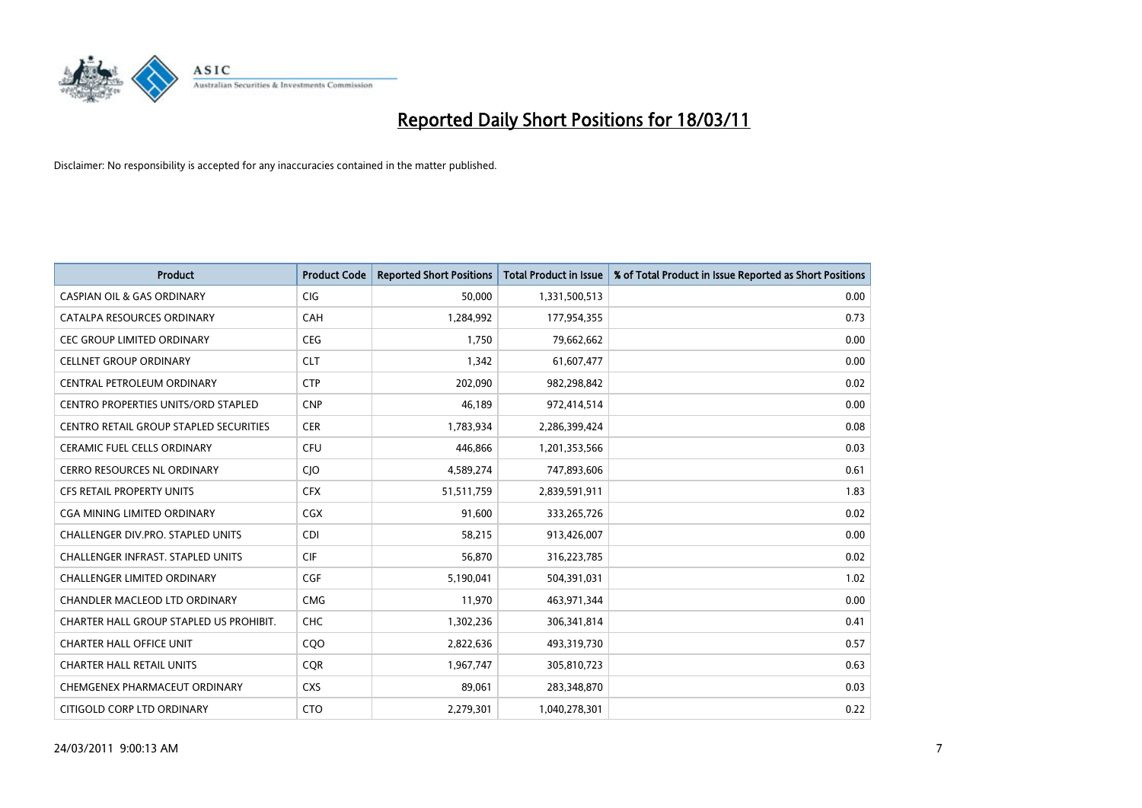

| <b>Product</b>                                | <b>Product Code</b> | <b>Reported Short Positions</b> | Total Product in Issue | % of Total Product in Issue Reported as Short Positions |
|-----------------------------------------------|---------------------|---------------------------------|------------------------|---------------------------------------------------------|
| <b>CASPIAN OIL &amp; GAS ORDINARY</b>         | <b>CIG</b>          | 50,000                          | 1,331,500,513          | 0.00                                                    |
| CATALPA RESOURCES ORDINARY                    | CAH                 | 1,284,992                       | 177,954,355            | 0.73                                                    |
| <b>CEC GROUP LIMITED ORDINARY</b>             | <b>CEG</b>          | 1,750                           | 79,662,662             | 0.00                                                    |
| <b>CELLNET GROUP ORDINARY</b>                 | <b>CLT</b>          | 1,342                           | 61,607,477             | 0.00                                                    |
| CENTRAL PETROLEUM ORDINARY                    | <b>CTP</b>          | 202,090                         | 982,298,842            | 0.02                                                    |
| <b>CENTRO PROPERTIES UNITS/ORD STAPLED</b>    | <b>CNP</b>          | 46.189                          | 972,414,514            | 0.00                                                    |
| <b>CENTRO RETAIL GROUP STAPLED SECURITIES</b> | <b>CER</b>          | 1,783,934                       | 2,286,399,424          | 0.08                                                    |
| <b>CERAMIC FUEL CELLS ORDINARY</b>            | <b>CFU</b>          | 446,866                         | 1,201,353,566          | 0.03                                                    |
| CERRO RESOURCES NL ORDINARY                   | CJO                 | 4,589,274                       | 747,893,606            | 0.61                                                    |
| CFS RETAIL PROPERTY UNITS                     | <b>CFX</b>          | 51,511,759                      | 2,839,591,911          | 1.83                                                    |
| CGA MINING LIMITED ORDINARY                   | <b>CGX</b>          | 91,600                          | 333,265,726            | 0.02                                                    |
| CHALLENGER DIV.PRO. STAPLED UNITS             | <b>CDI</b>          | 58,215                          | 913,426,007            | 0.00                                                    |
| <b>CHALLENGER INFRAST, STAPLED UNITS</b>      | <b>CIF</b>          | 56.870                          | 316,223,785            | 0.02                                                    |
| <b>CHALLENGER LIMITED ORDINARY</b>            | <b>CGF</b>          | 5,190,041                       | 504,391,031            | 1.02                                                    |
| <b>CHANDLER MACLEOD LTD ORDINARY</b>          | <b>CMG</b>          | 11,970                          | 463,971,344            | 0.00                                                    |
| CHARTER HALL GROUP STAPLED US PROHIBIT.       | <b>CHC</b>          | 1,302,236                       | 306,341,814            | 0.41                                                    |
| <b>CHARTER HALL OFFICE UNIT</b>               | CQ <sub>O</sub>     | 2,822,636                       | 493,319,730            | 0.57                                                    |
| <b>CHARTER HALL RETAIL UNITS</b>              | <b>CQR</b>          | 1,967,747                       | 305,810,723            | 0.63                                                    |
| CHEMGENEX PHARMACEUT ORDINARY                 | <b>CXS</b>          | 89,061                          | 283,348,870            | 0.03                                                    |
| CITIGOLD CORP LTD ORDINARY                    | <b>CTO</b>          | 2,279,301                       | 1,040,278,301          | 0.22                                                    |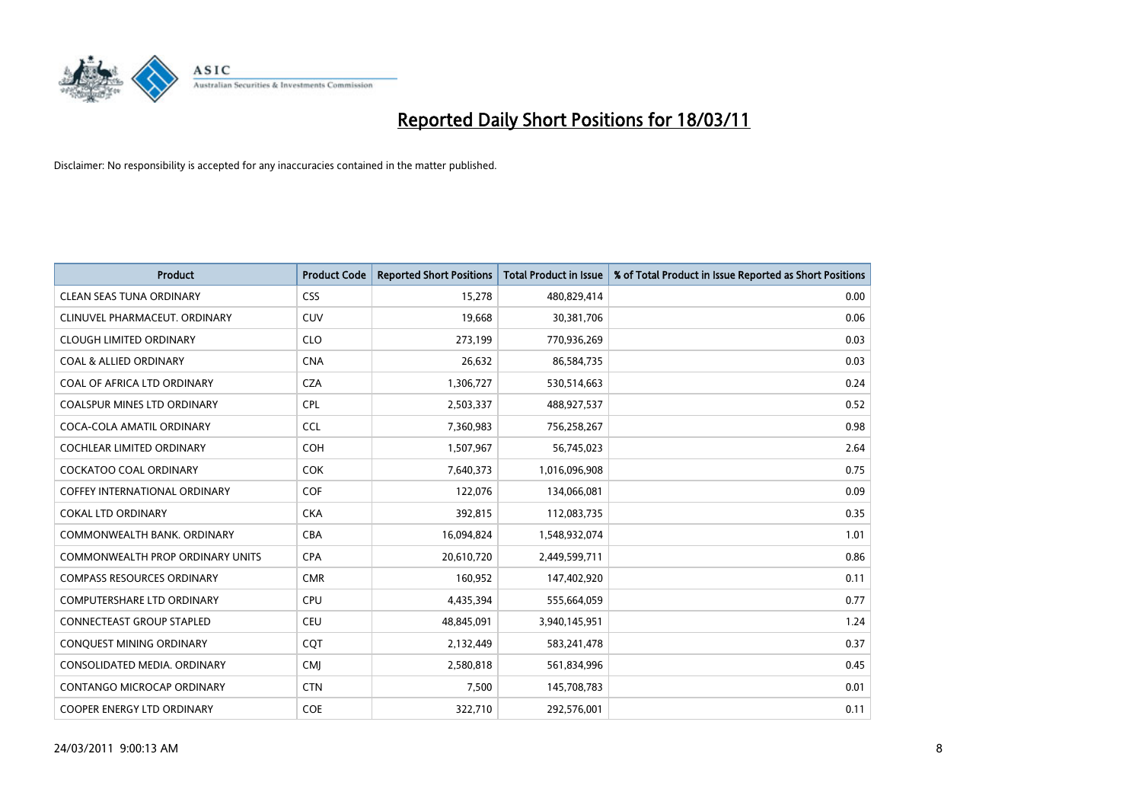

| <b>Product</b>                          | <b>Product Code</b> | <b>Reported Short Positions</b> | <b>Total Product in Issue</b> | % of Total Product in Issue Reported as Short Positions |
|-----------------------------------------|---------------------|---------------------------------|-------------------------------|---------------------------------------------------------|
| <b>CLEAN SEAS TUNA ORDINARY</b>         | <b>CSS</b>          | 15,278                          | 480,829,414                   | 0.00                                                    |
| CLINUVEL PHARMACEUT, ORDINARY           | <b>CUV</b>          | 19,668                          | 30,381,706                    | 0.06                                                    |
| <b>CLOUGH LIMITED ORDINARY</b>          | <b>CLO</b>          | 273,199                         | 770,936,269                   | 0.03                                                    |
| <b>COAL &amp; ALLIED ORDINARY</b>       | <b>CNA</b>          | 26,632                          | 86,584,735                    | 0.03                                                    |
| COAL OF AFRICA LTD ORDINARY             | <b>CZA</b>          | 1,306,727                       | 530,514,663                   | 0.24                                                    |
| <b>COALSPUR MINES LTD ORDINARY</b>      | <b>CPL</b>          | 2,503,337                       | 488,927,537                   | 0.52                                                    |
| COCA-COLA AMATIL ORDINARY               | <b>CCL</b>          | 7,360,983                       | 756,258,267                   | 0.98                                                    |
| <b>COCHLEAR LIMITED ORDINARY</b>        | <b>COH</b>          | 1,507,967                       | 56,745,023                    | 2.64                                                    |
| <b>COCKATOO COAL ORDINARY</b>           | <b>COK</b>          | 7,640,373                       | 1,016,096,908                 | 0.75                                                    |
| <b>COFFEY INTERNATIONAL ORDINARY</b>    | <b>COF</b>          | 122,076                         | 134,066,081                   | 0.09                                                    |
| <b>COKAL LTD ORDINARY</b>               | <b>CKA</b>          | 392,815                         | 112,083,735                   | 0.35                                                    |
| COMMONWEALTH BANK, ORDINARY             | <b>CBA</b>          | 16,094,824                      | 1,548,932,074                 | 1.01                                                    |
| <b>COMMONWEALTH PROP ORDINARY UNITS</b> | <b>CPA</b>          | 20,610,720                      | 2,449,599,711                 | 0.86                                                    |
| <b>COMPASS RESOURCES ORDINARY</b>       | <b>CMR</b>          | 160,952                         | 147,402,920                   | 0.11                                                    |
| COMPUTERSHARE LTD ORDINARY              | <b>CPU</b>          | 4,435,394                       | 555,664,059                   | 0.77                                                    |
| <b>CONNECTEAST GROUP STAPLED</b>        | <b>CEU</b>          | 48,845,091                      | 3,940,145,951                 | 1.24                                                    |
| CONQUEST MINING ORDINARY                | CQT                 | 2,132,449                       | 583,241,478                   | 0.37                                                    |
| CONSOLIDATED MEDIA. ORDINARY            | <b>CMI</b>          | 2,580,818                       | 561,834,996                   | 0.45                                                    |
| <b>CONTANGO MICROCAP ORDINARY</b>       | <b>CTN</b>          | 7,500                           | 145,708,783                   | 0.01                                                    |
| <b>COOPER ENERGY LTD ORDINARY</b>       | <b>COE</b>          | 322,710                         | 292,576,001                   | 0.11                                                    |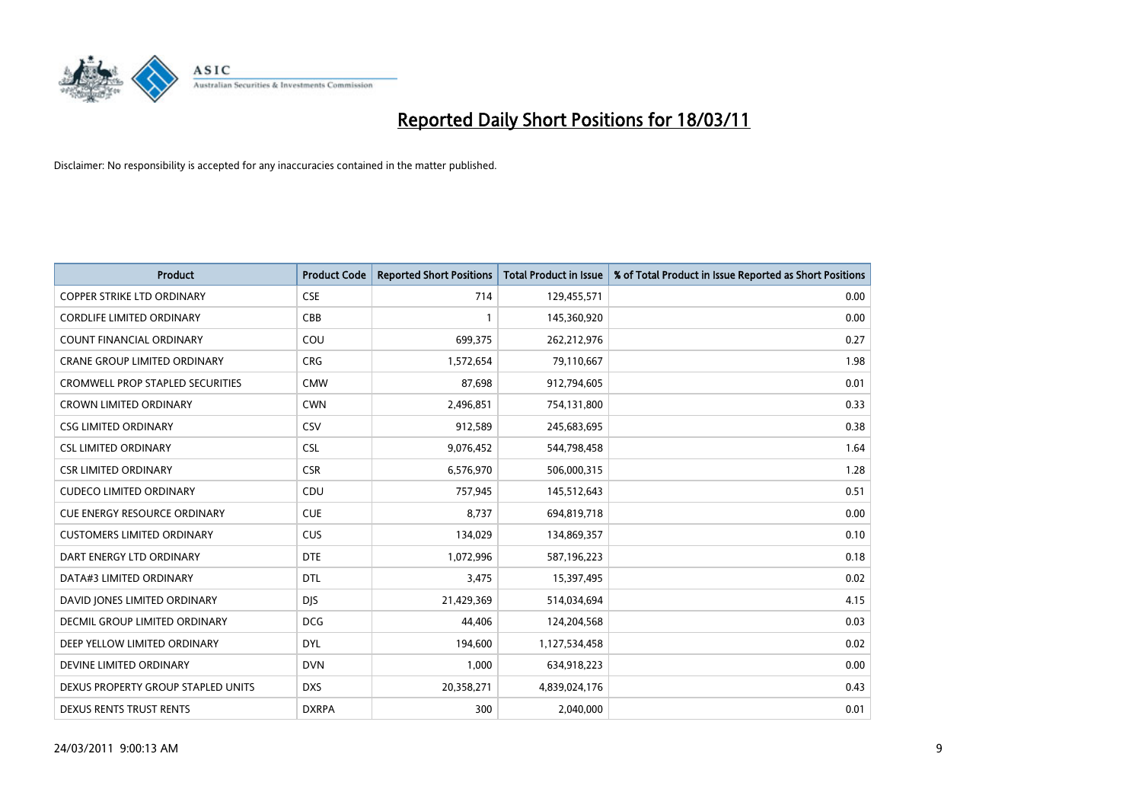

| <b>Product</b>                          | <b>Product Code</b> | <b>Reported Short Positions</b> | <b>Total Product in Issue</b> | % of Total Product in Issue Reported as Short Positions |
|-----------------------------------------|---------------------|---------------------------------|-------------------------------|---------------------------------------------------------|
| <b>COPPER STRIKE LTD ORDINARY</b>       | <b>CSE</b>          | 714                             | 129,455,571                   | 0.00                                                    |
| <b>CORDLIFE LIMITED ORDINARY</b>        | CBB                 |                                 | 145,360,920                   | 0.00                                                    |
| <b>COUNT FINANCIAL ORDINARY</b>         | COU                 | 699,375                         | 262,212,976                   | 0.27                                                    |
| CRANE GROUP LIMITED ORDINARY            | <b>CRG</b>          | 1,572,654                       | 79,110,667                    | 1.98                                                    |
| <b>CROMWELL PROP STAPLED SECURITIES</b> | <b>CMW</b>          | 87,698                          | 912,794,605                   | 0.01                                                    |
| <b>CROWN LIMITED ORDINARY</b>           | <b>CWN</b>          | 2,496,851                       | 754,131,800                   | 0.33                                                    |
| CSG LIMITED ORDINARY                    | CSV                 | 912,589                         | 245,683,695                   | 0.38                                                    |
| <b>CSL LIMITED ORDINARY</b>             | <b>CSL</b>          | 9,076,452                       | 544,798,458                   | 1.64                                                    |
| <b>CSR LIMITED ORDINARY</b>             | <b>CSR</b>          | 6,576,970                       | 506,000,315                   | 1.28                                                    |
| <b>CUDECO LIMITED ORDINARY</b>          | CDU                 | 757,945                         | 145,512,643                   | 0.51                                                    |
| <b>CUE ENERGY RESOURCE ORDINARY</b>     | <b>CUE</b>          | 8,737                           | 694,819,718                   | 0.00                                                    |
| <b>CUSTOMERS LIMITED ORDINARY</b>       | <b>CUS</b>          | 134,029                         | 134,869,357                   | 0.10                                                    |
| DART ENERGY LTD ORDINARY                | <b>DTE</b>          | 1,072,996                       | 587,196,223                   | 0.18                                                    |
| DATA#3 LIMITED ORDINARY                 | <b>DTL</b>          | 3,475                           | 15,397,495                    | 0.02                                                    |
| DAVID JONES LIMITED ORDINARY            | <b>DJS</b>          | 21,429,369                      | 514,034,694                   | 4.15                                                    |
| <b>DECMIL GROUP LIMITED ORDINARY</b>    | <b>DCG</b>          | 44,406                          | 124,204,568                   | 0.03                                                    |
| DEEP YELLOW LIMITED ORDINARY            | <b>DYL</b>          | 194,600                         | 1,127,534,458                 | 0.02                                                    |
| DEVINE LIMITED ORDINARY                 | <b>DVN</b>          | 1,000                           | 634,918,223                   | 0.00                                                    |
| DEXUS PROPERTY GROUP STAPLED UNITS      | <b>DXS</b>          | 20,358,271                      | 4,839,024,176                 | 0.43                                                    |
| DEXUS RENTS TRUST RENTS                 | <b>DXRPA</b>        | 300                             | 2,040,000                     | 0.01                                                    |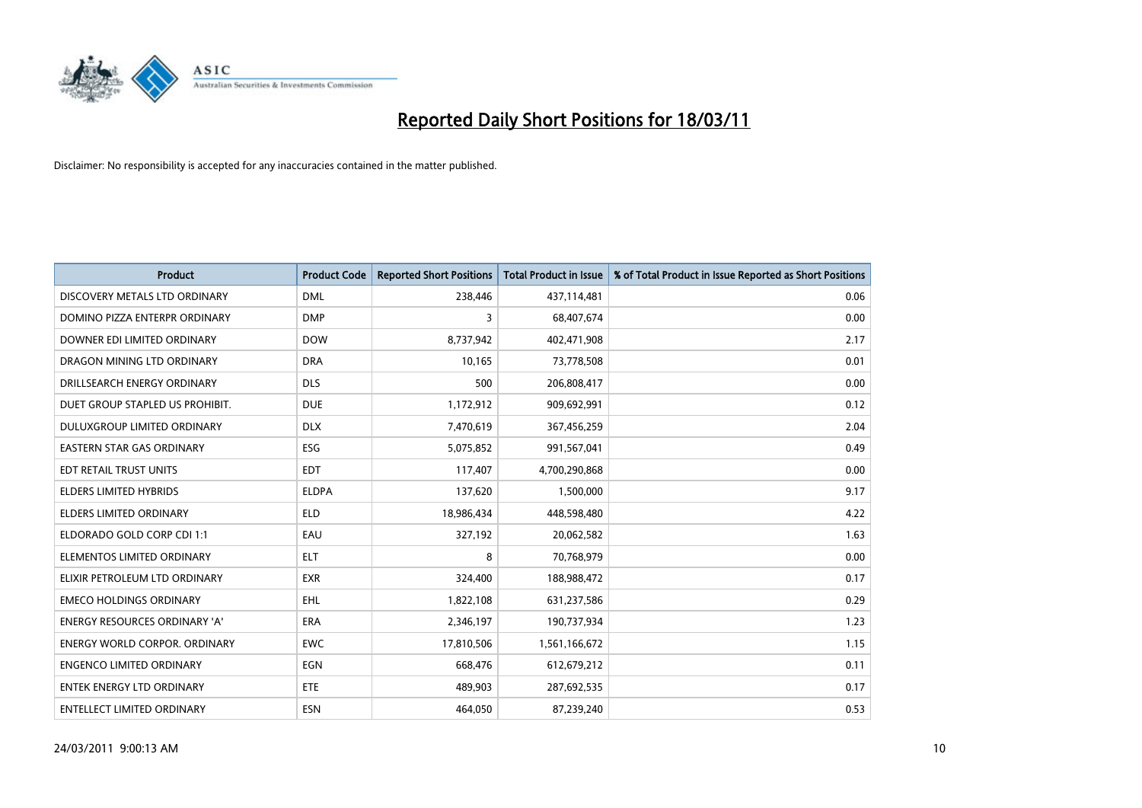

| <b>Product</b>                       | <b>Product Code</b> | <b>Reported Short Positions</b> | <b>Total Product in Issue</b> | % of Total Product in Issue Reported as Short Positions |
|--------------------------------------|---------------------|---------------------------------|-------------------------------|---------------------------------------------------------|
| DISCOVERY METALS LTD ORDINARY        | <b>DML</b>          | 238,446                         | 437,114,481                   | 0.06                                                    |
| DOMINO PIZZA ENTERPR ORDINARY        | <b>DMP</b>          | 3                               | 68,407,674                    | 0.00                                                    |
| DOWNER EDI LIMITED ORDINARY          | <b>DOW</b>          | 8,737,942                       | 402,471,908                   | 2.17                                                    |
| DRAGON MINING LTD ORDINARY           | <b>DRA</b>          | 10,165                          | 73,778,508                    | 0.01                                                    |
| DRILLSEARCH ENERGY ORDINARY          | <b>DLS</b>          | 500                             | 206,808,417                   | 0.00                                                    |
| DUET GROUP STAPLED US PROHIBIT.      | <b>DUE</b>          | 1,172,912                       | 909,692,991                   | 0.12                                                    |
| DULUXGROUP LIMITED ORDINARY          | <b>DLX</b>          | 7,470,619                       | 367,456,259                   | 2.04                                                    |
| EASTERN STAR GAS ORDINARY            | ESG                 | 5,075,852                       | 991,567,041                   | 0.49                                                    |
| EDT RETAIL TRUST UNITS               | EDT                 | 117,407                         | 4,700,290,868                 | 0.00                                                    |
| <b>ELDERS LIMITED HYBRIDS</b>        | <b>ELDPA</b>        | 137,620                         | 1,500,000                     | 9.17                                                    |
| ELDERS LIMITED ORDINARY              | <b>ELD</b>          | 18,986,434                      | 448,598,480                   | 4.22                                                    |
| ELDORADO GOLD CORP CDI 1:1           | EAU                 | 327,192                         | 20,062,582                    | 1.63                                                    |
| ELEMENTOS LIMITED ORDINARY           | <b>ELT</b>          | 8                               | 70,768,979                    | 0.00                                                    |
| ELIXIR PETROLEUM LTD ORDINARY        | <b>EXR</b>          | 324,400                         | 188,988,472                   | 0.17                                                    |
| <b>EMECO HOLDINGS ORDINARY</b>       | <b>EHL</b>          | 1,822,108                       | 631,237,586                   | 0.29                                                    |
| <b>ENERGY RESOURCES ORDINARY 'A'</b> | <b>ERA</b>          | 2,346,197                       | 190,737,934                   | 1.23                                                    |
| ENERGY WORLD CORPOR. ORDINARY        | <b>EWC</b>          | 17,810,506                      | 1,561,166,672                 | 1.15                                                    |
| <b>ENGENCO LIMITED ORDINARY</b>      | EGN                 | 668,476                         | 612,679,212                   | 0.11                                                    |
| <b>ENTEK ENERGY LTD ORDINARY</b>     | <b>ETE</b>          | 489,903                         | 287,692,535                   | 0.17                                                    |
| <b>ENTELLECT LIMITED ORDINARY</b>    | <b>ESN</b>          | 464,050                         | 87,239,240                    | 0.53                                                    |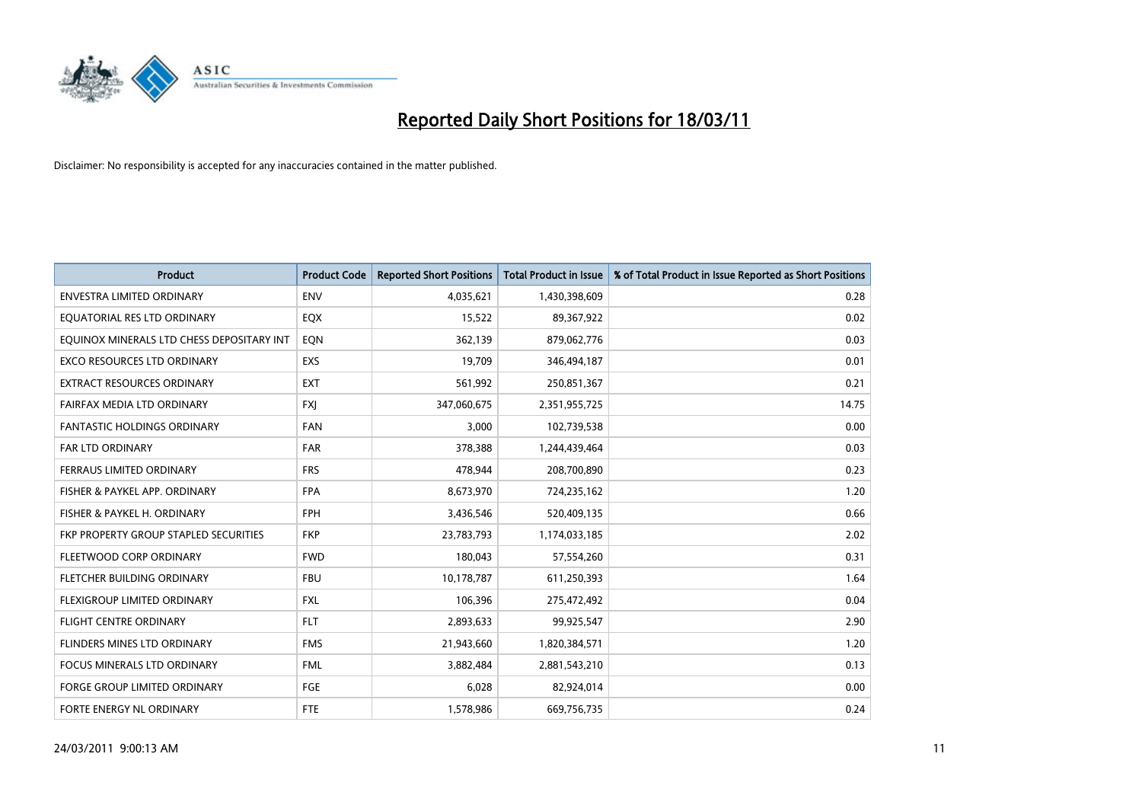

| Product                                   | <b>Product Code</b> | <b>Reported Short Positions</b> | <b>Total Product in Issue</b> | % of Total Product in Issue Reported as Short Positions |
|-------------------------------------------|---------------------|---------------------------------|-------------------------------|---------------------------------------------------------|
| <b>ENVESTRA LIMITED ORDINARY</b>          | <b>ENV</b>          | 4,035,621                       | 1,430,398,609                 | 0.28                                                    |
| EQUATORIAL RES LTD ORDINARY               | EQX                 | 15,522                          | 89,367,922                    | 0.02                                                    |
| EQUINOX MINERALS LTD CHESS DEPOSITARY INT | EQN                 | 362,139                         | 879,062,776                   | 0.03                                                    |
| EXCO RESOURCES LTD ORDINARY               | EXS                 | 19,709                          | 346,494,187                   | 0.01                                                    |
| <b>EXTRACT RESOURCES ORDINARY</b>         | <b>EXT</b>          | 561,992                         | 250,851,367                   | 0.21                                                    |
| FAIRFAX MEDIA LTD ORDINARY                | <b>FXJ</b>          | 347,060,675                     | 2,351,955,725                 | 14.75                                                   |
| <b>FANTASTIC HOLDINGS ORDINARY</b>        | <b>FAN</b>          | 3.000                           | 102,739,538                   | 0.00                                                    |
| <b>FAR LTD ORDINARY</b>                   | <b>FAR</b>          | 378,388                         | 1,244,439,464                 | 0.03                                                    |
| FERRAUS LIMITED ORDINARY                  | <b>FRS</b>          | 478,944                         | 208,700,890                   | 0.23                                                    |
| FISHER & PAYKEL APP. ORDINARY             | <b>FPA</b>          | 8,673,970                       | 724,235,162                   | 1.20                                                    |
| FISHER & PAYKEL H. ORDINARY               | <b>FPH</b>          | 3,436,546                       | 520,409,135                   | 0.66                                                    |
| FKP PROPERTY GROUP STAPLED SECURITIES     | <b>FKP</b>          | 23,783,793                      | 1,174,033,185                 | 2.02                                                    |
| FLEETWOOD CORP ORDINARY                   | <b>FWD</b>          | 180,043                         | 57,554,260                    | 0.31                                                    |
| FLETCHER BUILDING ORDINARY                | <b>FBU</b>          | 10,178,787                      | 611,250,393                   | 1.64                                                    |
| FLEXIGROUP LIMITED ORDINARY               | <b>FXL</b>          | 106,396                         | 275,472,492                   | 0.04                                                    |
| <b>FLIGHT CENTRE ORDINARY</b>             | <b>FLT</b>          | 2,893,633                       | 99,925,547                    | 2.90                                                    |
| FLINDERS MINES LTD ORDINARY               | <b>FMS</b>          | 21,943,660                      | 1,820,384,571                 | 1.20                                                    |
| FOCUS MINERALS LTD ORDINARY               | <b>FML</b>          | 3,882,484                       | 2,881,543,210                 | 0.13                                                    |
| <b>FORGE GROUP LIMITED ORDINARY</b>       | FGE                 | 6,028                           | 82,924,014                    | 0.00                                                    |
| FORTE ENERGY NL ORDINARY                  | <b>FTE</b>          | 1,578,986                       | 669,756,735                   | 0.24                                                    |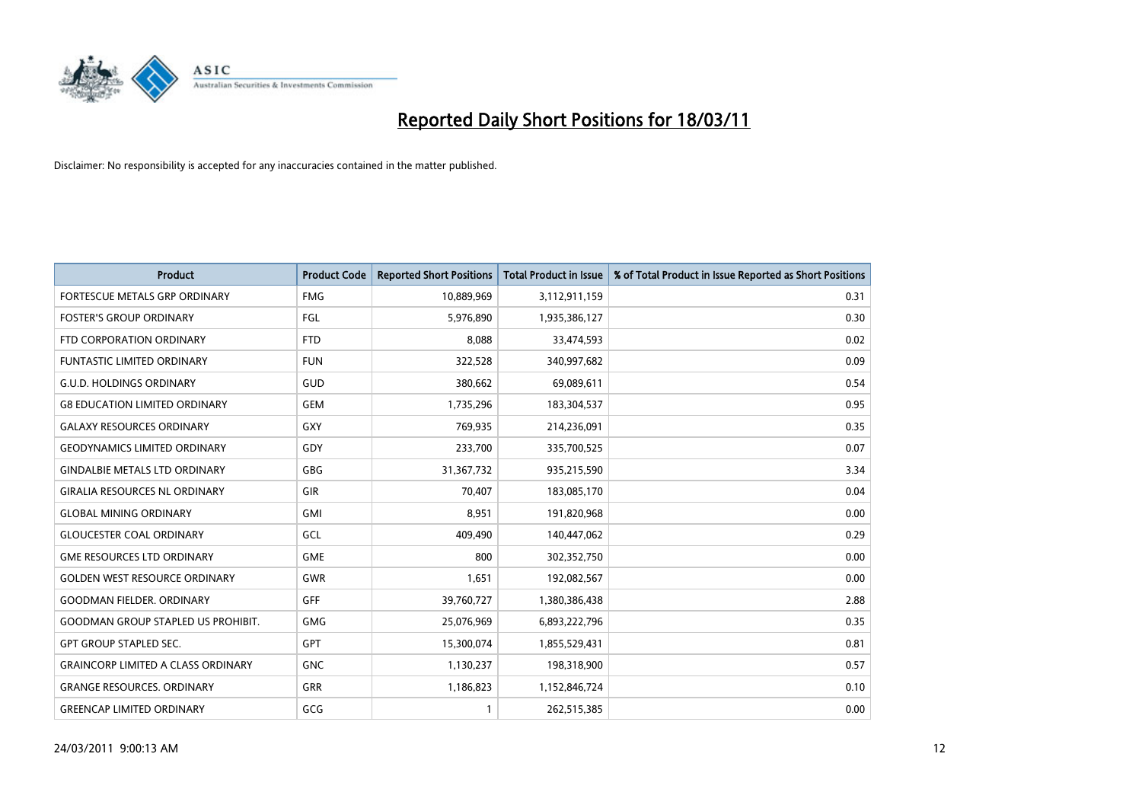

| <b>Product</b>                            | <b>Product Code</b> | <b>Reported Short Positions</b> | Total Product in Issue | % of Total Product in Issue Reported as Short Positions |
|-------------------------------------------|---------------------|---------------------------------|------------------------|---------------------------------------------------------|
| FORTESCUE METALS GRP ORDINARY             | <b>FMG</b>          | 10,889,969                      | 3,112,911,159          | 0.31                                                    |
| <b>FOSTER'S GROUP ORDINARY</b>            | FGL                 | 5,976,890                       | 1,935,386,127          | 0.30                                                    |
| FTD CORPORATION ORDINARY                  | <b>FTD</b>          | 8,088                           | 33,474,593             | 0.02                                                    |
| FUNTASTIC LIMITED ORDINARY                | <b>FUN</b>          | 322,528                         | 340,997,682            | 0.09                                                    |
| <b>G.U.D. HOLDINGS ORDINARY</b>           | GUD                 | 380,662                         | 69,089,611             | 0.54                                                    |
| <b>G8 EDUCATION LIMITED ORDINARY</b>      | <b>GEM</b>          | 1,735,296                       | 183,304,537            | 0.95                                                    |
| <b>GALAXY RESOURCES ORDINARY</b>          | GXY                 | 769.935                         | 214,236,091            | 0.35                                                    |
| <b>GEODYNAMICS LIMITED ORDINARY</b>       | GDY                 | 233,700                         | 335,700,525            | 0.07                                                    |
| <b>GINDALBIE METALS LTD ORDINARY</b>      | <b>GBG</b>          | 31,367,732                      | 935,215,590            | 3.34                                                    |
| <b>GIRALIA RESOURCES NL ORDINARY</b>      | GIR                 | 70.407                          | 183,085,170            | 0.04                                                    |
| <b>GLOBAL MINING ORDINARY</b>             | GMI                 | 8,951                           | 191,820,968            | 0.00                                                    |
| <b>GLOUCESTER COAL ORDINARY</b>           | GCL                 | 409,490                         | 140,447,062            | 0.29                                                    |
| <b>GME RESOURCES LTD ORDINARY</b>         | <b>GME</b>          | 800                             | 302,352,750            | 0.00                                                    |
| <b>GOLDEN WEST RESOURCE ORDINARY</b>      | <b>GWR</b>          | 1,651                           | 192,082,567            | 0.00                                                    |
| <b>GOODMAN FIELDER, ORDINARY</b>          | <b>GFF</b>          | 39,760,727                      | 1,380,386,438          | 2.88                                                    |
| <b>GOODMAN GROUP STAPLED US PROHIBIT.</b> | <b>GMG</b>          | 25,076,969                      | 6,893,222,796          | 0.35                                                    |
| <b>GPT GROUP STAPLED SEC.</b>             | <b>GPT</b>          | 15,300,074                      | 1,855,529,431          | 0.81                                                    |
| <b>GRAINCORP LIMITED A CLASS ORDINARY</b> | <b>GNC</b>          | 1,130,237                       | 198,318,900            | 0.57                                                    |
| <b>GRANGE RESOURCES, ORDINARY</b>         | <b>GRR</b>          | 1,186,823                       | 1,152,846,724          | 0.10                                                    |
| <b>GREENCAP LIMITED ORDINARY</b>          | GCG                 |                                 | 262,515,385            | 0.00                                                    |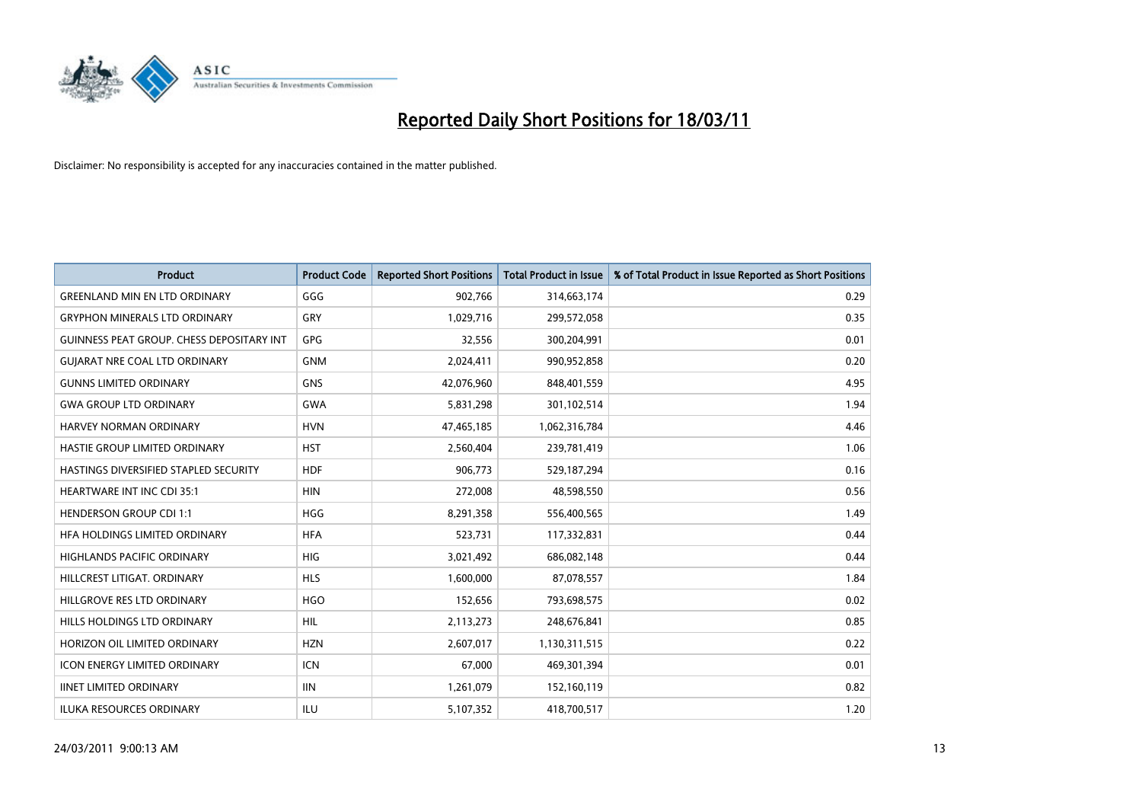

| <b>Product</b>                                   | <b>Product Code</b> | <b>Reported Short Positions</b> | Total Product in Issue | % of Total Product in Issue Reported as Short Positions |
|--------------------------------------------------|---------------------|---------------------------------|------------------------|---------------------------------------------------------|
| <b>GREENLAND MIN EN LTD ORDINARY</b>             | GGG                 | 902,766                         | 314,663,174            | 0.29                                                    |
| <b>GRYPHON MINERALS LTD ORDINARY</b>             | GRY                 | 1,029,716                       | 299,572,058            | 0.35                                                    |
| <b>GUINNESS PEAT GROUP. CHESS DEPOSITARY INT</b> | <b>GPG</b>          | 32,556                          | 300,204,991            | 0.01                                                    |
| <b>GUIARAT NRE COAL LTD ORDINARY</b>             | <b>GNM</b>          | 2,024,411                       | 990,952,858            | 0.20                                                    |
| <b>GUNNS LIMITED ORDINARY</b>                    | <b>GNS</b>          | 42,076,960                      | 848,401,559            | 4.95                                                    |
| <b>GWA GROUP LTD ORDINARY</b>                    | <b>GWA</b>          | 5,831,298                       | 301,102,514            | 1.94                                                    |
| HARVEY NORMAN ORDINARY                           | <b>HVN</b>          | 47,465,185                      | 1,062,316,784          | 4.46                                                    |
| HASTIE GROUP LIMITED ORDINARY                    | <b>HST</b>          | 2,560,404                       | 239,781,419            | 1.06                                                    |
| HASTINGS DIVERSIFIED STAPLED SECURITY            | <b>HDF</b>          | 906,773                         | 529,187,294            | 0.16                                                    |
| <b>HEARTWARE INT INC CDI 35:1</b>                | <b>HIN</b>          | 272,008                         | 48,598,550             | 0.56                                                    |
| <b>HENDERSON GROUP CDI 1:1</b>                   | <b>HGG</b>          | 8,291,358                       | 556,400,565            | 1.49                                                    |
| HFA HOLDINGS LIMITED ORDINARY                    | <b>HFA</b>          | 523,731                         | 117,332,831            | 0.44                                                    |
| <b>HIGHLANDS PACIFIC ORDINARY</b>                | <b>HIG</b>          | 3,021,492                       | 686,082,148            | 0.44                                                    |
| HILLCREST LITIGAT, ORDINARY                      | <b>HLS</b>          | 1.600.000                       | 87,078,557             | 1.84                                                    |
| HILLGROVE RES LTD ORDINARY                       | <b>HGO</b>          | 152,656                         | 793,698,575            | 0.02                                                    |
| HILLS HOLDINGS LTD ORDINARY                      | <b>HIL</b>          | 2,113,273                       | 248,676,841            | 0.85                                                    |
| HORIZON OIL LIMITED ORDINARY                     | <b>HZN</b>          | 2,607,017                       | 1,130,311,515          | 0.22                                                    |
| ICON ENERGY LIMITED ORDINARY                     | <b>ICN</b>          | 67,000                          | 469,301,394            | 0.01                                                    |
| <b>IINET LIMITED ORDINARY</b>                    | <b>IIN</b>          | 1,261,079                       | 152,160,119            | 0.82                                                    |
| <b>ILUKA RESOURCES ORDINARY</b>                  | ILU                 | 5,107,352                       | 418,700,517            | 1.20                                                    |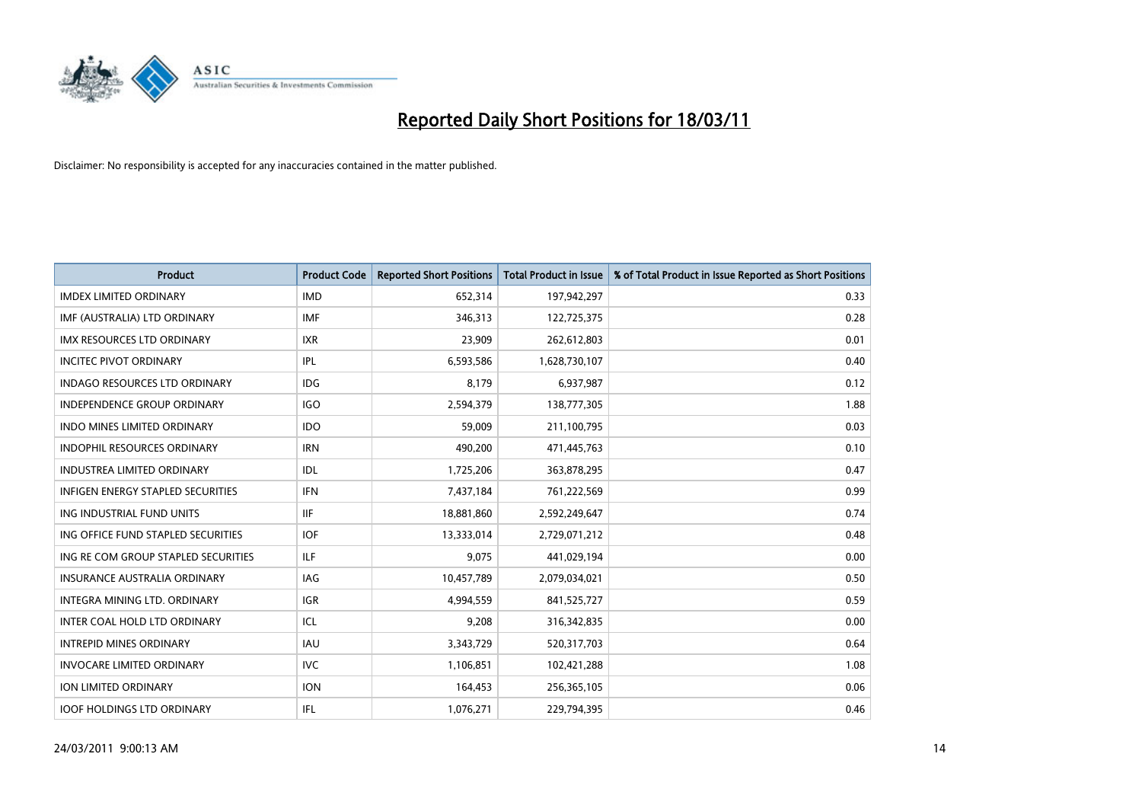

| <b>Product</b>                           | <b>Product Code</b> | <b>Reported Short Positions</b> | <b>Total Product in Issue</b> | % of Total Product in Issue Reported as Short Positions |
|------------------------------------------|---------------------|---------------------------------|-------------------------------|---------------------------------------------------------|
| <b>IMDEX LIMITED ORDINARY</b>            | <b>IMD</b>          | 652,314                         | 197,942,297                   | 0.33                                                    |
| IMF (AUSTRALIA) LTD ORDINARY             | <b>IMF</b>          | 346,313                         | 122,725,375                   | 0.28                                                    |
| <b>IMX RESOURCES LTD ORDINARY</b>        | <b>IXR</b>          | 23,909                          | 262,612,803                   | 0.01                                                    |
| <b>INCITEC PIVOT ORDINARY</b>            | IPL                 | 6,593,586                       | 1,628,730,107                 | 0.40                                                    |
| <b>INDAGO RESOURCES LTD ORDINARY</b>     | <b>IDG</b>          | 8,179                           | 6,937,987                     | 0.12                                                    |
| <b>INDEPENDENCE GROUP ORDINARY</b>       | <b>IGO</b>          | 2,594,379                       | 138,777,305                   | 1.88                                                    |
| <b>INDO MINES LIMITED ORDINARY</b>       | <b>IDO</b>          | 59.009                          | 211,100,795                   | 0.03                                                    |
| <b>INDOPHIL RESOURCES ORDINARY</b>       | <b>IRN</b>          | 490,200                         | 471,445,763                   | 0.10                                                    |
| <b>INDUSTREA LIMITED ORDINARY</b>        | IDL                 | 1,725,206                       | 363,878,295                   | 0.47                                                    |
| <b>INFIGEN ENERGY STAPLED SECURITIES</b> | <b>IFN</b>          | 7,437,184                       | 761,222,569                   | 0.99                                                    |
| ING INDUSTRIAL FUND UNITS                | <b>IIF</b>          | 18,881,860                      | 2,592,249,647                 | 0.74                                                    |
| ING OFFICE FUND STAPLED SECURITIES       | <b>IOF</b>          | 13,333,014                      | 2,729,071,212                 | 0.48                                                    |
| ING RE COM GROUP STAPLED SECURITIES      | ILF.                | 9,075                           | 441,029,194                   | 0.00                                                    |
| <b>INSURANCE AUSTRALIA ORDINARY</b>      | <b>IAG</b>          | 10,457,789                      | 2,079,034,021                 | 0.50                                                    |
| INTEGRA MINING LTD, ORDINARY             | <b>IGR</b>          | 4,994,559                       | 841,525,727                   | 0.59                                                    |
| INTER COAL HOLD LTD ORDINARY             | ICL                 | 9,208                           | 316, 342, 835                 | 0.00                                                    |
| <b>INTREPID MINES ORDINARY</b>           | <b>IAU</b>          | 3,343,729                       | 520,317,703                   | 0.64                                                    |
| <b>INVOCARE LIMITED ORDINARY</b>         | <b>IVC</b>          | 1,106,851                       | 102,421,288                   | 1.08                                                    |
| <b>ION LIMITED ORDINARY</b>              | <b>ION</b>          | 164,453                         | 256,365,105                   | 0.06                                                    |
| <b>IOOF HOLDINGS LTD ORDINARY</b>        | IFL.                | 1,076,271                       | 229,794,395                   | 0.46                                                    |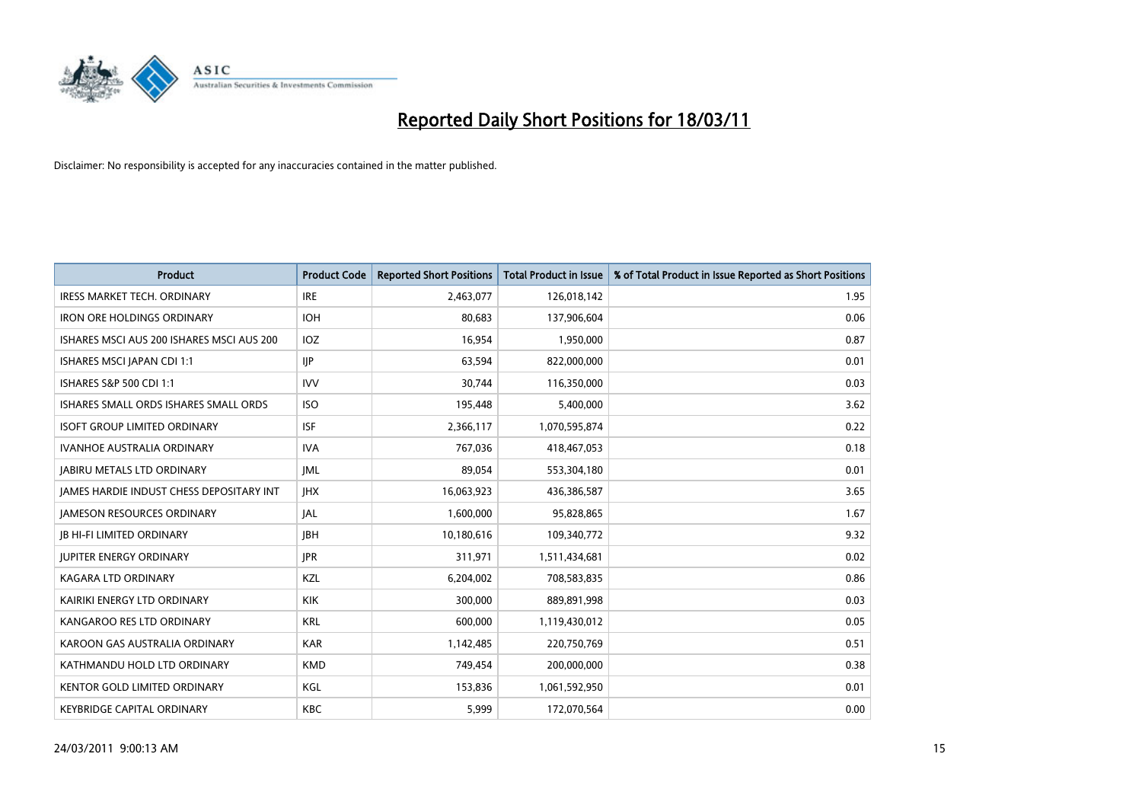

| Product                                         | <b>Product Code</b> | <b>Reported Short Positions</b> | <b>Total Product in Issue</b> | % of Total Product in Issue Reported as Short Positions |
|-------------------------------------------------|---------------------|---------------------------------|-------------------------------|---------------------------------------------------------|
| <b>IRESS MARKET TECH. ORDINARY</b>              | <b>IRE</b>          | 2,463,077                       | 126,018,142                   | 1.95                                                    |
| <b>IRON ORE HOLDINGS ORDINARY</b>               | <b>IOH</b>          | 80,683                          | 137,906,604                   | 0.06                                                    |
| ISHARES MSCI AUS 200 ISHARES MSCI AUS 200       | IOZ                 | 16,954                          | 1,950,000                     | 0.87                                                    |
| ISHARES MSCI JAPAN CDI 1:1                      | IIP                 | 63,594                          | 822,000,000                   | 0.01                                                    |
| ISHARES S&P 500 CDI 1:1                         | <b>IVV</b>          | 30,744                          | 116,350,000                   | 0.03                                                    |
| ISHARES SMALL ORDS ISHARES SMALL ORDS           | <b>ISO</b>          | 195,448                         | 5,400,000                     | 3.62                                                    |
| <b>ISOFT GROUP LIMITED ORDINARY</b>             | <b>ISF</b>          | 2,366,117                       | 1,070,595,874                 | 0.22                                                    |
| IVANHOE AUSTRALIA ORDINARY                      | <b>IVA</b>          | 767,036                         | 418,467,053                   | 0.18                                                    |
| <b>JABIRU METALS LTD ORDINARY</b>               | <b>JML</b>          | 89,054                          | 553,304,180                   | 0.01                                                    |
| <b>JAMES HARDIE INDUST CHESS DEPOSITARY INT</b> | <b>JHX</b>          | 16,063,923                      | 436,386,587                   | 3.65                                                    |
| <b>JAMESON RESOURCES ORDINARY</b>               | <b>JAL</b>          | 1,600,000                       | 95,828,865                    | 1.67                                                    |
| <b>JB HI-FI LIMITED ORDINARY</b>                | <b>IBH</b>          | 10,180,616                      | 109,340,772                   | 9.32                                                    |
| <b>JUPITER ENERGY ORDINARY</b>                  | <b>JPR</b>          | 311,971                         | 1,511,434,681                 | 0.02                                                    |
| <b>KAGARA LTD ORDINARY</b>                      | KZL                 | 6,204,002                       | 708,583,835                   | 0.86                                                    |
| KAIRIKI ENERGY LTD ORDINARY                     | <b>KIK</b>          | 300,000                         | 889,891,998                   | 0.03                                                    |
| KANGAROO RES LTD ORDINARY                       | <b>KRL</b>          | 600,000                         | 1,119,430,012                 | 0.05                                                    |
| KAROON GAS AUSTRALIA ORDINARY                   | <b>KAR</b>          | 1,142,485                       | 220,750,769                   | 0.51                                                    |
| KATHMANDU HOLD LTD ORDINARY                     | <b>KMD</b>          | 749,454                         | 200,000,000                   | 0.38                                                    |
| <b>KENTOR GOLD LIMITED ORDINARY</b>             | KGL                 | 153,836                         | 1,061,592,950                 | 0.01                                                    |
| <b>KEYBRIDGE CAPITAL ORDINARY</b>               | <b>KBC</b>          | 5,999                           | 172,070,564                   | 0.00                                                    |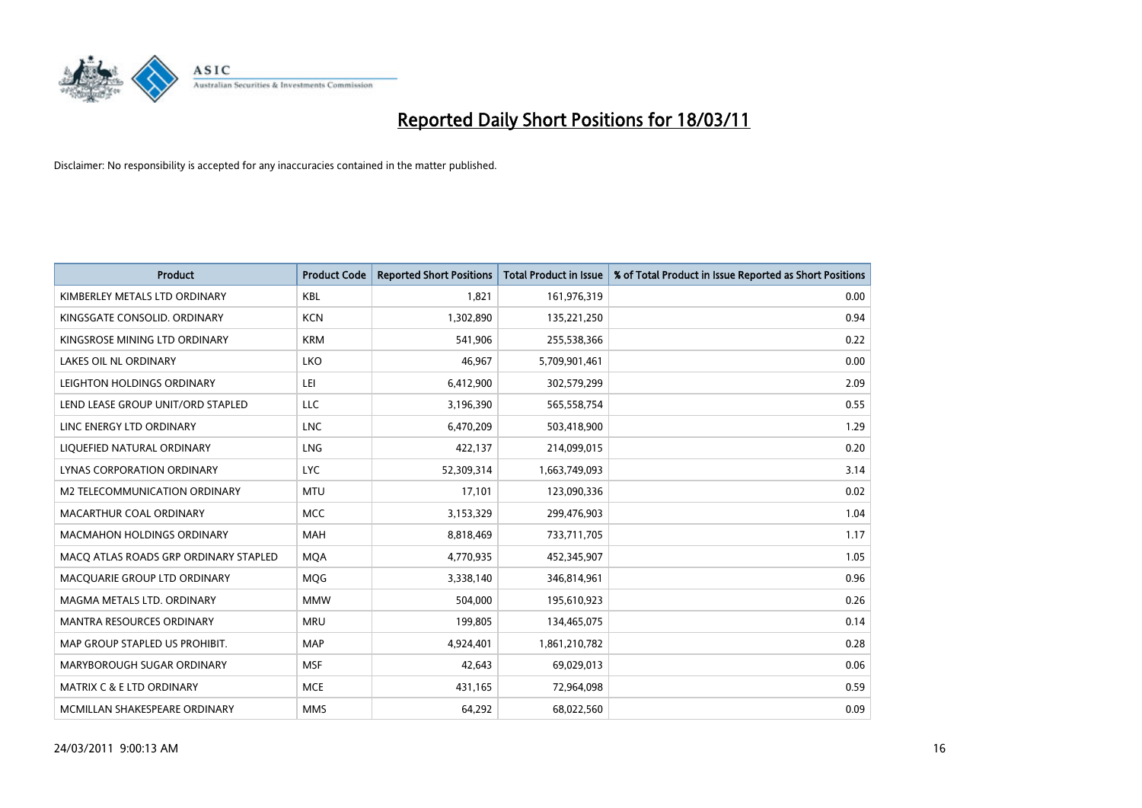

| <b>Product</b>                        | <b>Product Code</b> | <b>Reported Short Positions</b> | <b>Total Product in Issue</b> | % of Total Product in Issue Reported as Short Positions |
|---------------------------------------|---------------------|---------------------------------|-------------------------------|---------------------------------------------------------|
| KIMBERLEY METALS LTD ORDINARY         | <b>KBL</b>          | 1,821                           | 161,976,319                   | 0.00                                                    |
| KINGSGATE CONSOLID. ORDINARY          | <b>KCN</b>          | 1,302,890                       | 135,221,250                   | 0.94                                                    |
| KINGSROSE MINING LTD ORDINARY         | <b>KRM</b>          | 541.906                         | 255,538,366                   | 0.22                                                    |
| LAKES OIL NL ORDINARY                 | LKO                 | 46,967                          | 5,709,901,461                 | 0.00                                                    |
| LEIGHTON HOLDINGS ORDINARY            | LEI                 | 6,412,900                       | 302,579,299                   | 2.09                                                    |
| LEND LEASE GROUP UNIT/ORD STAPLED     | <b>LLC</b>          | 3,196,390                       | 565,558,754                   | 0.55                                                    |
| LINC ENERGY LTD ORDINARY              | <b>LNC</b>          | 6,470,209                       | 503,418,900                   | 1.29                                                    |
| LIQUEFIED NATURAL ORDINARY            | <b>LNG</b>          | 422,137                         | 214,099,015                   | 0.20                                                    |
| <b>LYNAS CORPORATION ORDINARY</b>     | <b>LYC</b>          | 52,309,314                      | 1,663,749,093                 | 3.14                                                    |
| M2 TELECOMMUNICATION ORDINARY         | <b>MTU</b>          | 17,101                          | 123,090,336                   | 0.02                                                    |
| MACARTHUR COAL ORDINARY               | <b>MCC</b>          | 3,153,329                       | 299,476,903                   | 1.04                                                    |
| <b>MACMAHON HOLDINGS ORDINARY</b>     | <b>MAH</b>          | 8,818,469                       | 733,711,705                   | 1.17                                                    |
| MACO ATLAS ROADS GRP ORDINARY STAPLED | <b>MQA</b>          | 4,770,935                       | 452,345,907                   | 1.05                                                    |
| MACQUARIE GROUP LTD ORDINARY          | MQG                 | 3,338,140                       | 346,814,961                   | 0.96                                                    |
| MAGMA METALS LTD. ORDINARY            | <b>MMW</b>          | 504.000                         | 195,610,923                   | 0.26                                                    |
| MANTRA RESOURCES ORDINARY             | <b>MRU</b>          | 199,805                         | 134,465,075                   | 0.14                                                    |
| MAP GROUP STAPLED US PROHIBIT.        | <b>MAP</b>          | 4,924,401                       | 1,861,210,782                 | 0.28                                                    |
| MARYBOROUGH SUGAR ORDINARY            | <b>MSF</b>          | 42,643                          | 69,029,013                    | 0.06                                                    |
| MATRIX C & E LTD ORDINARY             | <b>MCE</b>          | 431,165                         | 72,964,098                    | 0.59                                                    |
| MCMILLAN SHAKESPEARE ORDINARY         | <b>MMS</b>          | 64,292                          | 68,022,560                    | 0.09                                                    |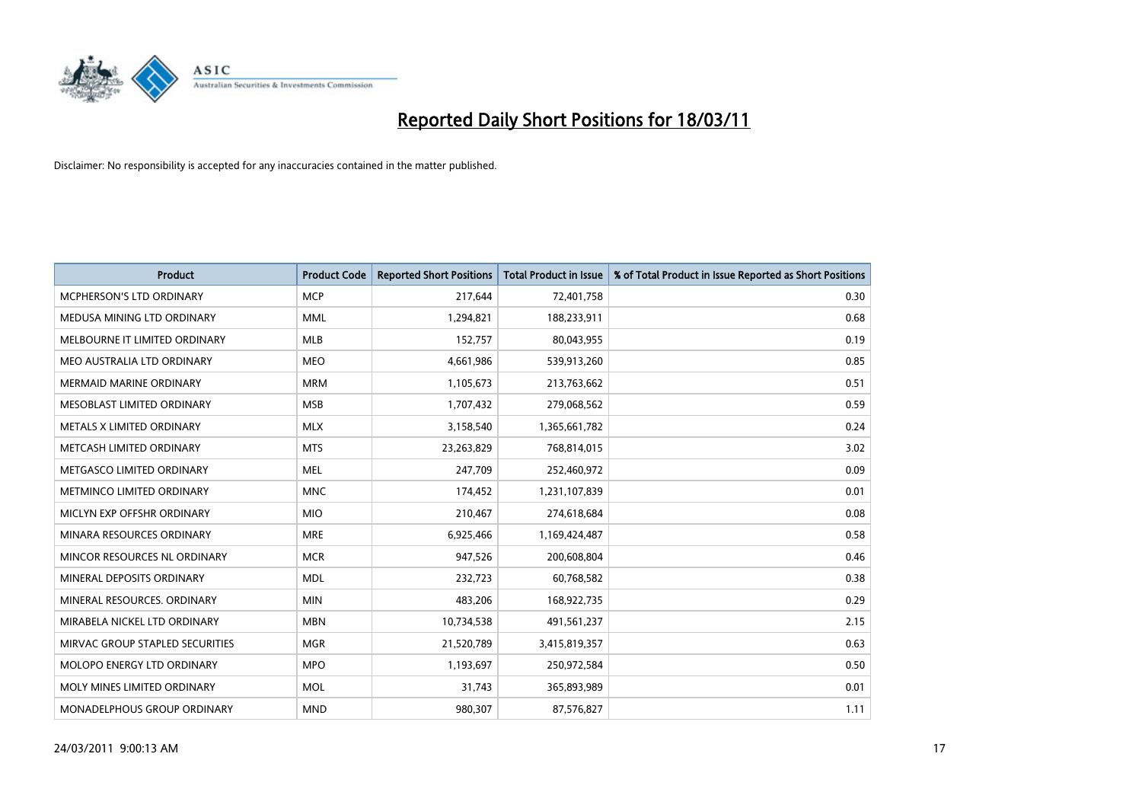

| Product                         | <b>Product Code</b> | <b>Reported Short Positions</b> | Total Product in Issue | % of Total Product in Issue Reported as Short Positions |
|---------------------------------|---------------------|---------------------------------|------------------------|---------------------------------------------------------|
| <b>MCPHERSON'S LTD ORDINARY</b> | <b>MCP</b>          | 217,644                         | 72,401,758             | 0.30                                                    |
| MEDUSA MINING LTD ORDINARY      | <b>MML</b>          | 1,294,821                       | 188,233,911            | 0.68                                                    |
| MELBOURNE IT LIMITED ORDINARY   | <b>MLB</b>          | 152,757                         | 80,043,955             | 0.19                                                    |
| MEO AUSTRALIA LTD ORDINARY      | <b>MEO</b>          | 4,661,986                       | 539,913,260            | 0.85                                                    |
| <b>MERMAID MARINE ORDINARY</b>  | <b>MRM</b>          | 1,105,673                       | 213,763,662            | 0.51                                                    |
| MESOBLAST LIMITED ORDINARY      | <b>MSB</b>          | 1,707,432                       | 279,068,562            | 0.59                                                    |
| METALS X LIMITED ORDINARY       | <b>MLX</b>          | 3,158,540                       | 1,365,661,782          | 0.24                                                    |
| METCASH LIMITED ORDINARY        | <b>MTS</b>          | 23,263,829                      | 768,814,015            | 3.02                                                    |
| METGASCO LIMITED ORDINARY       | <b>MEL</b>          | 247,709                         | 252,460,972            | 0.09                                                    |
| METMINCO LIMITED ORDINARY       | <b>MNC</b>          | 174,452                         | 1,231,107,839          | 0.01                                                    |
| MICLYN EXP OFFSHR ORDINARY      | <b>MIO</b>          | 210,467                         | 274,618,684            | 0.08                                                    |
| MINARA RESOURCES ORDINARY       | <b>MRE</b>          | 6,925,466                       | 1,169,424,487          | 0.58                                                    |
| MINCOR RESOURCES NL ORDINARY    | <b>MCR</b>          | 947,526                         | 200,608,804            | 0.46                                                    |
| MINERAL DEPOSITS ORDINARY       | <b>MDL</b>          | 232,723                         | 60,768,582             | 0.38                                                    |
| MINERAL RESOURCES, ORDINARY     | <b>MIN</b>          | 483,206                         | 168,922,735            | 0.29                                                    |
| MIRABELA NICKEL LTD ORDINARY    | <b>MBN</b>          | 10,734,538                      | 491,561,237            | 2.15                                                    |
| MIRVAC GROUP STAPLED SECURITIES | <b>MGR</b>          | 21,520,789                      | 3,415,819,357          | 0.63                                                    |
| MOLOPO ENERGY LTD ORDINARY      | <b>MPO</b>          | 1,193,697                       | 250,972,584            | 0.50                                                    |
| MOLY MINES LIMITED ORDINARY     | <b>MOL</b>          | 31,743                          | 365,893,989            | 0.01                                                    |
| MONADELPHOUS GROUP ORDINARY     | <b>MND</b>          | 980,307                         | 87,576,827             | 1.11                                                    |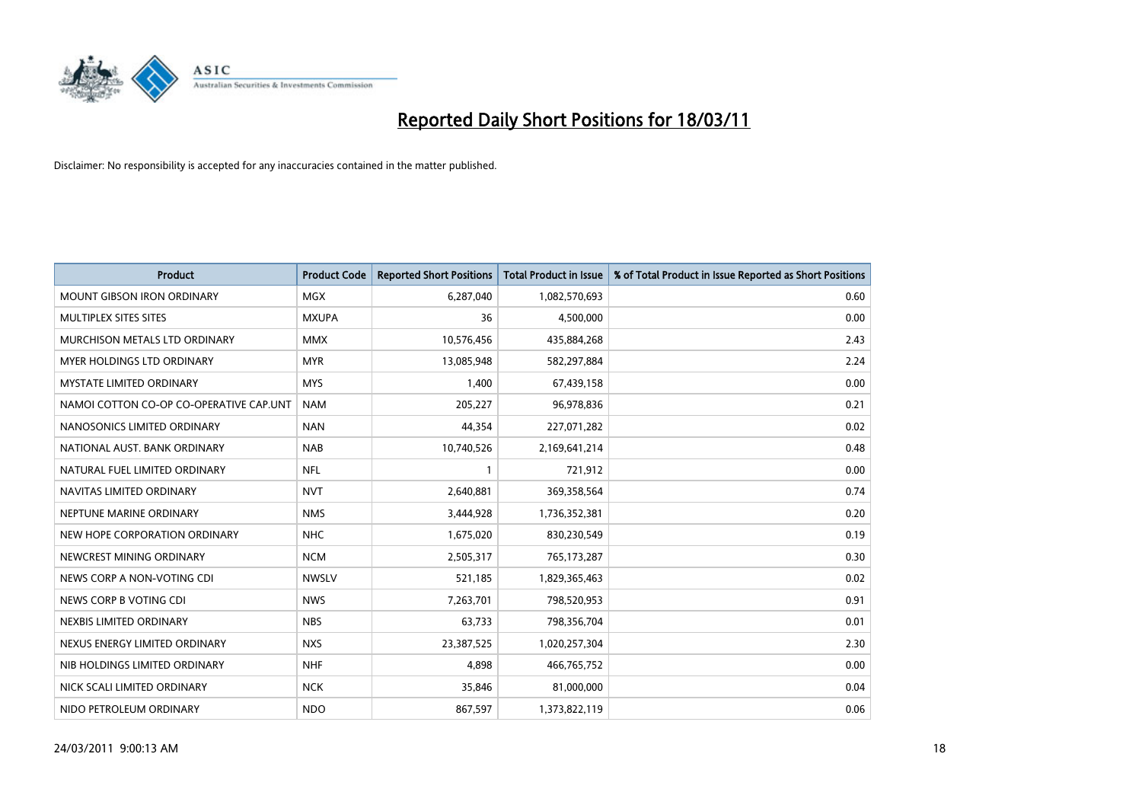

| Product                                 | <b>Product Code</b> | <b>Reported Short Positions</b> | <b>Total Product in Issue</b> | % of Total Product in Issue Reported as Short Positions |
|-----------------------------------------|---------------------|---------------------------------|-------------------------------|---------------------------------------------------------|
| <b>MOUNT GIBSON IRON ORDINARY</b>       | MGX                 | 6,287,040                       | 1,082,570,693                 | 0.60                                                    |
| MULTIPLEX SITES SITES                   | <b>MXUPA</b>        | 36                              | 4,500,000                     | 0.00                                                    |
| MURCHISON METALS LTD ORDINARY           | <b>MMX</b>          | 10,576,456                      | 435,884,268                   | 2.43                                                    |
| MYER HOLDINGS LTD ORDINARY              | <b>MYR</b>          | 13,085,948                      | 582,297,884                   | 2.24                                                    |
| <b>MYSTATE LIMITED ORDINARY</b>         | <b>MYS</b>          | 1,400                           | 67,439,158                    | 0.00                                                    |
| NAMOI COTTON CO-OP CO-OPERATIVE CAP.UNT | <b>NAM</b>          | 205,227                         | 96,978,836                    | 0.21                                                    |
| NANOSONICS LIMITED ORDINARY             | <b>NAN</b>          | 44,354                          | 227,071,282                   | 0.02                                                    |
| NATIONAL AUST. BANK ORDINARY            | <b>NAB</b>          | 10,740,526                      | 2,169,641,214                 | 0.48                                                    |
| NATURAL FUEL LIMITED ORDINARY           | <b>NFL</b>          | 1                               | 721,912                       | 0.00                                                    |
| NAVITAS LIMITED ORDINARY                | <b>NVT</b>          | 2,640,881                       | 369,358,564                   | 0.74                                                    |
| NEPTUNE MARINE ORDINARY                 | <b>NMS</b>          | 3,444,928                       | 1,736,352,381                 | 0.20                                                    |
| NEW HOPE CORPORATION ORDINARY           | <b>NHC</b>          | 1,675,020                       | 830,230,549                   | 0.19                                                    |
| NEWCREST MINING ORDINARY                | <b>NCM</b>          | 2,505,317                       | 765,173,287                   | 0.30                                                    |
| NEWS CORP A NON-VOTING CDI              | <b>NWSLV</b>        | 521.185                         | 1,829,365,463                 | 0.02                                                    |
| NEWS CORP B VOTING CDI                  | <b>NWS</b>          | 7,263,701                       | 798,520,953                   | 0.91                                                    |
| NEXBIS LIMITED ORDINARY                 | <b>NBS</b>          | 63,733                          | 798,356,704                   | 0.01                                                    |
| NEXUS ENERGY LIMITED ORDINARY           | <b>NXS</b>          | 23,387,525                      | 1,020,257,304                 | 2.30                                                    |
| NIB HOLDINGS LIMITED ORDINARY           | <b>NHF</b>          | 4,898                           | 466,765,752                   | 0.00                                                    |
| NICK SCALI LIMITED ORDINARY             | <b>NCK</b>          | 35,846                          | 81,000,000                    | 0.04                                                    |
| NIDO PETROLEUM ORDINARY                 | <b>NDO</b>          | 867,597                         | 1,373,822,119                 | 0.06                                                    |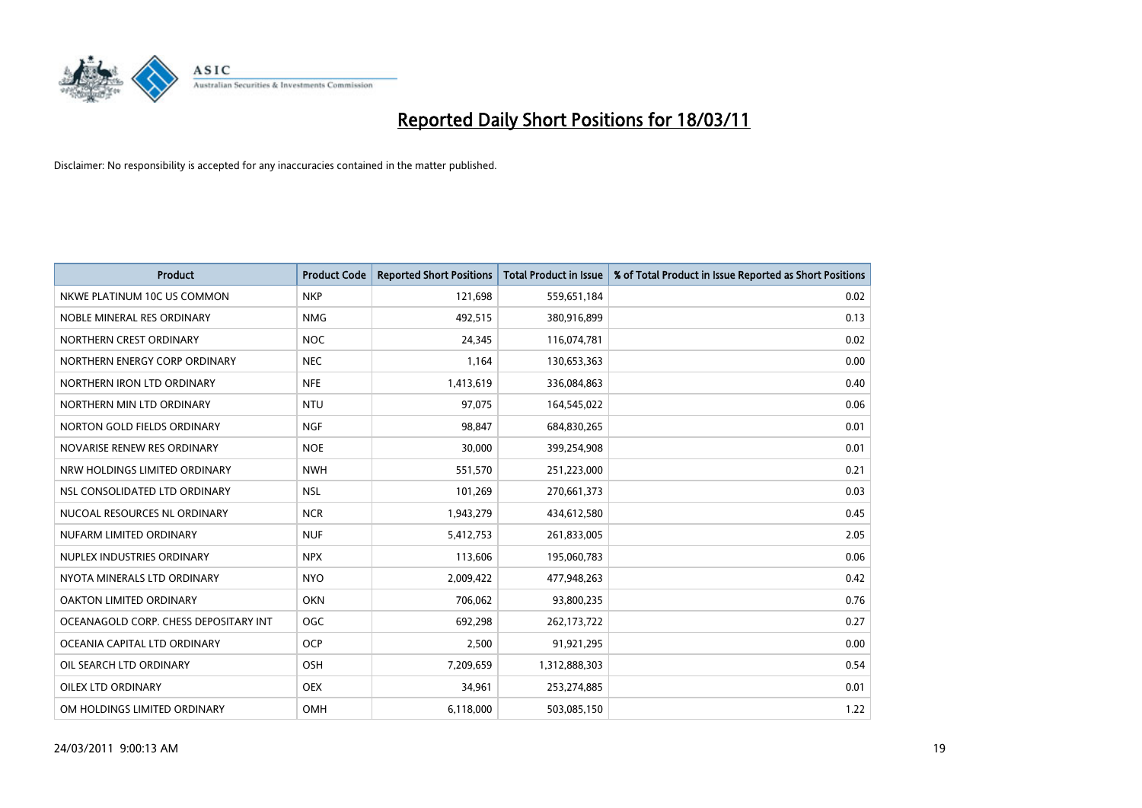

| Product                               | <b>Product Code</b> | <b>Reported Short Positions</b> | <b>Total Product in Issue</b> | % of Total Product in Issue Reported as Short Positions |
|---------------------------------------|---------------------|---------------------------------|-------------------------------|---------------------------------------------------------|
| NKWE PLATINUM 10C US COMMON           | <b>NKP</b>          | 121,698                         | 559,651,184                   | 0.02                                                    |
| NOBLE MINERAL RES ORDINARY            | <b>NMG</b>          | 492,515                         | 380,916,899                   | 0.13                                                    |
| NORTHERN CREST ORDINARY               | <b>NOC</b>          | 24,345                          | 116,074,781                   | 0.02                                                    |
| NORTHERN ENERGY CORP ORDINARY         | <b>NEC</b>          | 1,164                           | 130,653,363                   | 0.00                                                    |
| NORTHERN IRON LTD ORDINARY            | <b>NFE</b>          | 1,413,619                       | 336,084,863                   | 0.40                                                    |
| NORTHERN MIN LTD ORDINARY             | <b>NTU</b>          | 97,075                          | 164,545,022                   | 0.06                                                    |
| NORTON GOLD FIELDS ORDINARY           | <b>NGF</b>          | 98.847                          | 684,830,265                   | 0.01                                                    |
| NOVARISE RENEW RES ORDINARY           | <b>NOE</b>          | 30,000                          | 399,254,908                   | 0.01                                                    |
| NRW HOLDINGS LIMITED ORDINARY         | <b>NWH</b>          | 551,570                         | 251,223,000                   | 0.21                                                    |
| NSL CONSOLIDATED LTD ORDINARY         | <b>NSL</b>          | 101,269                         | 270,661,373                   | 0.03                                                    |
| NUCOAL RESOURCES NL ORDINARY          | <b>NCR</b>          | 1,943,279                       | 434,612,580                   | 0.45                                                    |
| NUFARM LIMITED ORDINARY               | <b>NUF</b>          | 5,412,753                       | 261,833,005                   | 2.05                                                    |
| NUPLEX INDUSTRIES ORDINARY            | <b>NPX</b>          | 113,606                         | 195,060,783                   | 0.06                                                    |
| NYOTA MINERALS LTD ORDINARY           | <b>NYO</b>          | 2,009,422                       | 477,948,263                   | 0.42                                                    |
| <b>OAKTON LIMITED ORDINARY</b>        | <b>OKN</b>          | 706,062                         | 93,800,235                    | 0.76                                                    |
| OCEANAGOLD CORP. CHESS DEPOSITARY INT | <b>OGC</b>          | 692,298                         | 262,173,722                   | 0.27                                                    |
| OCEANIA CAPITAL LTD ORDINARY          | <b>OCP</b>          | 2,500                           | 91,921,295                    | 0.00                                                    |
| OIL SEARCH LTD ORDINARY               | OSH                 | 7,209,659                       | 1,312,888,303                 | 0.54                                                    |
| OILEX LTD ORDINARY                    | <b>OEX</b>          | 34,961                          | 253,274,885                   | 0.01                                                    |
| OM HOLDINGS LIMITED ORDINARY          | OMH                 | 6,118,000                       | 503,085,150                   | 1.22                                                    |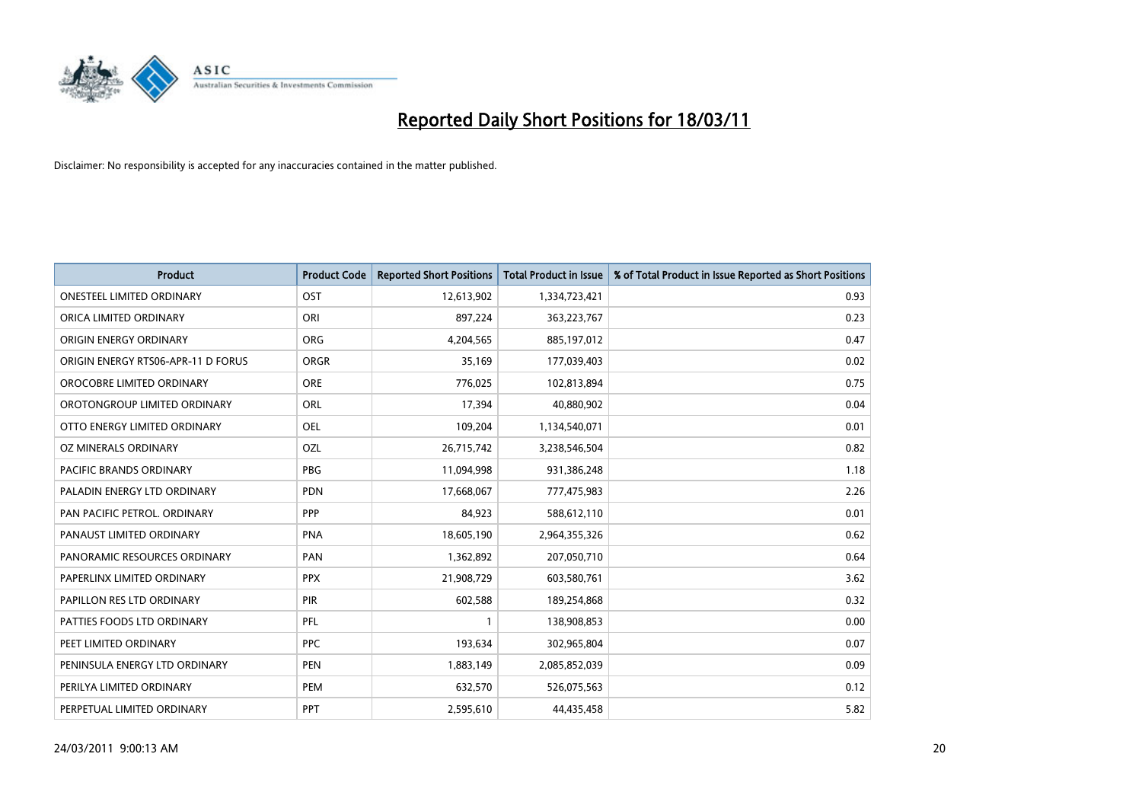

| Product                            | <b>Product Code</b> | <b>Reported Short Positions</b> | <b>Total Product in Issue</b> | % of Total Product in Issue Reported as Short Positions |
|------------------------------------|---------------------|---------------------------------|-------------------------------|---------------------------------------------------------|
| <b>ONESTEEL LIMITED ORDINARY</b>   | OST                 | 12,613,902                      | 1,334,723,421                 | 0.93                                                    |
| ORICA LIMITED ORDINARY             | ORI                 | 897,224                         | 363,223,767                   | 0.23                                                    |
| ORIGIN ENERGY ORDINARY             | <b>ORG</b>          | 4,204,565                       | 885,197,012                   | 0.47                                                    |
| ORIGIN ENERGY RTS06-APR-11 D FORUS | <b>ORGR</b>         | 35,169                          | 177,039,403                   | 0.02                                                    |
| OROCOBRE LIMITED ORDINARY          | <b>ORE</b>          | 776,025                         | 102,813,894                   | 0.75                                                    |
| OROTONGROUP LIMITED ORDINARY       | <b>ORL</b>          | 17,394                          | 40,880,902                    | 0.04                                                    |
| OTTO ENERGY LIMITED ORDINARY       | <b>OEL</b>          | 109,204                         | 1,134,540,071                 | 0.01                                                    |
| OZ MINERALS ORDINARY               | OZL                 | 26,715,742                      | 3,238,546,504                 | 0.82                                                    |
| PACIFIC BRANDS ORDINARY            | <b>PBG</b>          | 11,094,998                      | 931,386,248                   | 1.18                                                    |
| PALADIN ENERGY LTD ORDINARY        | <b>PDN</b>          | 17,668,067                      | 777,475,983                   | 2.26                                                    |
| PAN PACIFIC PETROL. ORDINARY       | PPP                 | 84,923                          | 588,612,110                   | 0.01                                                    |
| PANAUST LIMITED ORDINARY           | <b>PNA</b>          | 18,605,190                      | 2,964,355,326                 | 0.62                                                    |
| PANORAMIC RESOURCES ORDINARY       | PAN                 | 1,362,892                       | 207,050,710                   | 0.64                                                    |
| PAPERLINX LIMITED ORDINARY         | <b>PPX</b>          | 21,908,729                      | 603,580,761                   | 3.62                                                    |
| PAPILLON RES LTD ORDINARY          | PIR                 | 602,588                         | 189,254,868                   | 0.32                                                    |
| PATTIES FOODS LTD ORDINARY         | PFL                 |                                 | 138,908,853                   | 0.00                                                    |
| PEET LIMITED ORDINARY              | <b>PPC</b>          | 193,634                         | 302,965,804                   | 0.07                                                    |
| PENINSULA ENERGY LTD ORDINARY      | <b>PEN</b>          | 1,883,149                       | 2,085,852,039                 | 0.09                                                    |
| PERILYA LIMITED ORDINARY           | PEM                 | 632,570                         | 526,075,563                   | 0.12                                                    |
| PERPETUAL LIMITED ORDINARY         | PPT                 | 2,595,610                       | 44,435,458                    | 5.82                                                    |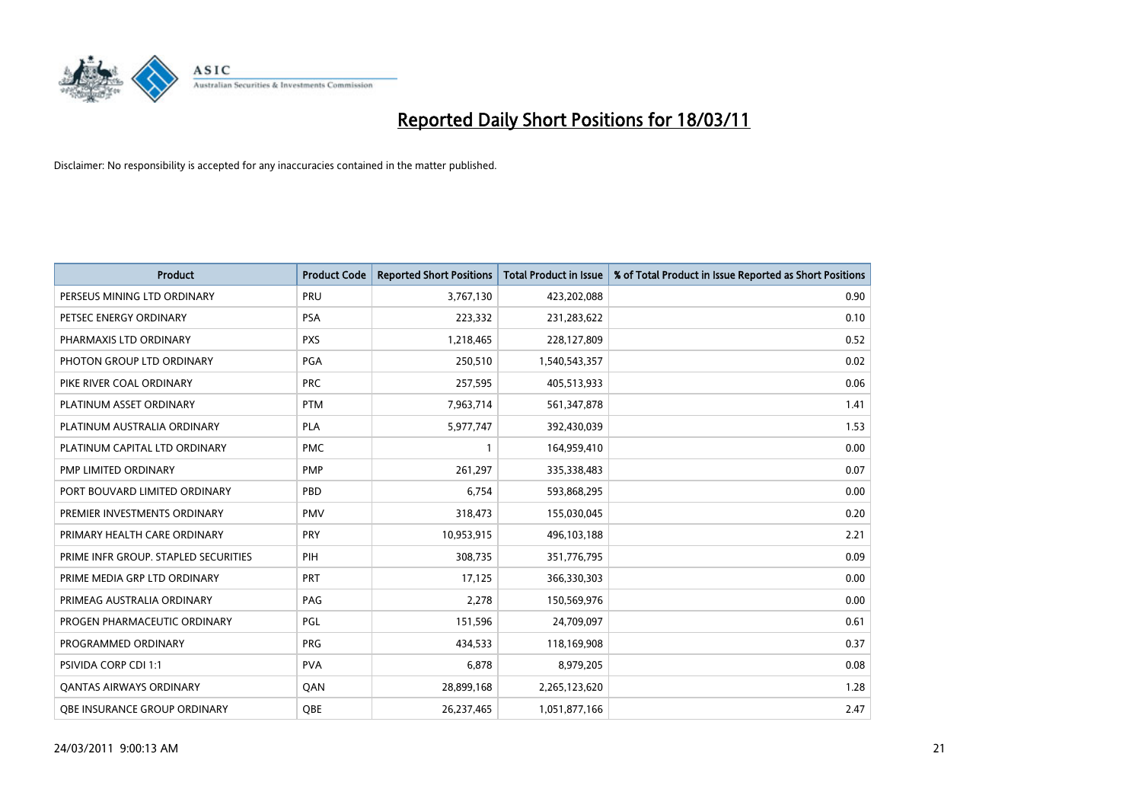

| <b>Product</b>                       | <b>Product Code</b> | <b>Reported Short Positions</b> | Total Product in Issue | % of Total Product in Issue Reported as Short Positions |
|--------------------------------------|---------------------|---------------------------------|------------------------|---------------------------------------------------------|
| PERSEUS MINING LTD ORDINARY          | PRU                 | 3,767,130                       | 423,202,088            | 0.90                                                    |
| PETSEC ENERGY ORDINARY               | <b>PSA</b>          | 223,332                         | 231,283,622            | 0.10                                                    |
| PHARMAXIS LTD ORDINARY               | <b>PXS</b>          | 1,218,465                       | 228,127,809            | 0.52                                                    |
| PHOTON GROUP LTD ORDINARY            | PGA                 | 250,510                         | 1,540,543,357          | 0.02                                                    |
| PIKE RIVER COAL ORDINARY             | <b>PRC</b>          | 257,595                         | 405,513,933            | 0.06                                                    |
| PLATINUM ASSET ORDINARY              | <b>PTM</b>          | 7,963,714                       | 561,347,878            | 1.41                                                    |
| PLATINUM AUSTRALIA ORDINARY          | <b>PLA</b>          | 5,977,747                       | 392,430,039            | 1.53                                                    |
| PLATINUM CAPITAL LTD ORDINARY        | <b>PMC</b>          |                                 | 164,959,410            | 0.00                                                    |
| PMP LIMITED ORDINARY                 | <b>PMP</b>          | 261,297                         | 335,338,483            | 0.07                                                    |
| PORT BOUVARD LIMITED ORDINARY        | PBD                 | 6.754                           | 593,868,295            | 0.00                                                    |
| PREMIER INVESTMENTS ORDINARY         | <b>PMV</b>          | 318,473                         | 155,030,045            | 0.20                                                    |
| PRIMARY HEALTH CARE ORDINARY         | <b>PRY</b>          | 10,953,915                      | 496,103,188            | 2.21                                                    |
| PRIME INFR GROUP. STAPLED SECURITIES | PIH                 | 308.735                         | 351,776,795            | 0.09                                                    |
| PRIME MEDIA GRP LTD ORDINARY         | <b>PRT</b>          | 17,125                          | 366,330,303            | 0.00                                                    |
| PRIMEAG AUSTRALIA ORDINARY           | PAG                 | 2,278                           | 150,569,976            | 0.00                                                    |
| PROGEN PHARMACEUTIC ORDINARY         | PGL                 | 151,596                         | 24,709,097             | 0.61                                                    |
| PROGRAMMED ORDINARY                  | <b>PRG</b>          | 434,533                         | 118,169,908            | 0.37                                                    |
| PSIVIDA CORP CDI 1:1                 | <b>PVA</b>          | 6,878                           | 8,979,205              | 0.08                                                    |
| OANTAS AIRWAYS ORDINARY              | QAN                 | 28,899,168                      | 2,265,123,620          | 1.28                                                    |
| OBE INSURANCE GROUP ORDINARY         | <b>OBE</b>          | 26,237,465                      | 1,051,877,166          | 2.47                                                    |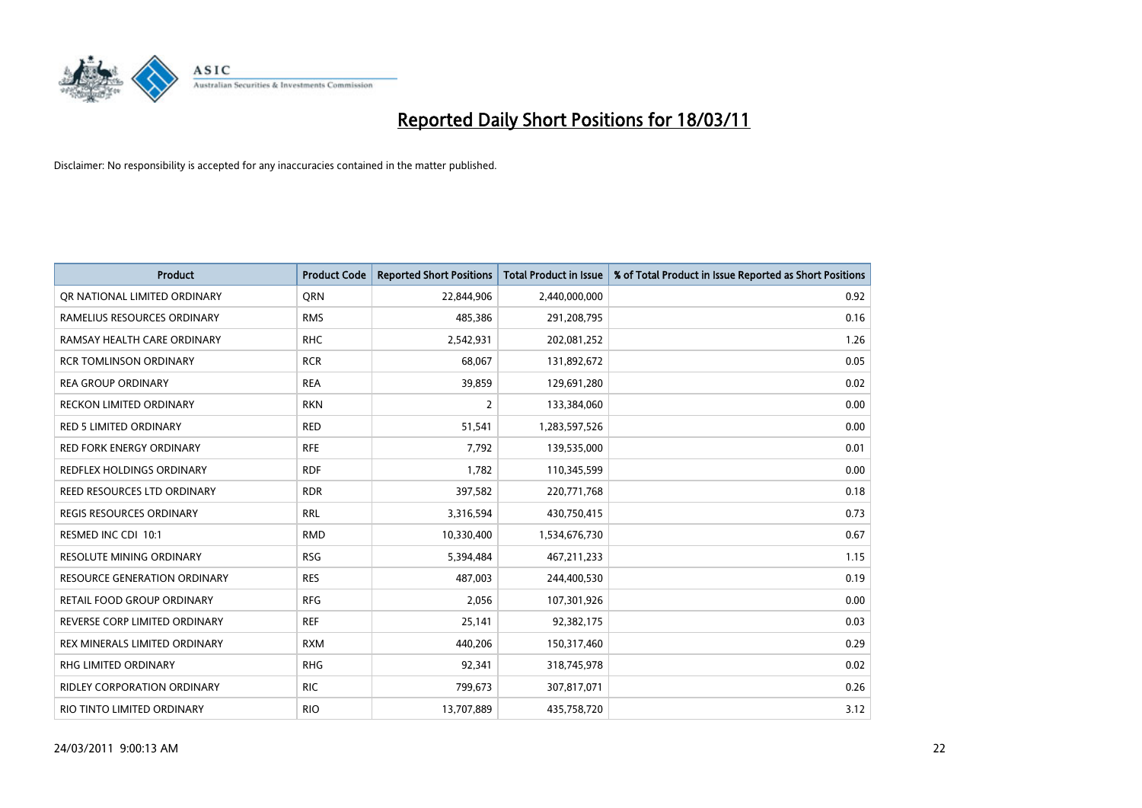

| <b>Product</b>                      | <b>Product Code</b> | <b>Reported Short Positions</b> | <b>Total Product in Issue</b> | % of Total Product in Issue Reported as Short Positions |
|-------------------------------------|---------------------|---------------------------------|-------------------------------|---------------------------------------------------------|
| OR NATIONAL LIMITED ORDINARY        | <b>ORN</b>          | 22,844,906                      | 2,440,000,000                 | 0.92                                                    |
| RAMELIUS RESOURCES ORDINARY         | <b>RMS</b>          | 485,386                         | 291,208,795                   | 0.16                                                    |
| RAMSAY HEALTH CARE ORDINARY         | <b>RHC</b>          | 2,542,931                       | 202,081,252                   | 1.26                                                    |
| <b>RCR TOMLINSON ORDINARY</b>       | <b>RCR</b>          | 68,067                          | 131,892,672                   | 0.05                                                    |
| <b>REA GROUP ORDINARY</b>           | <b>REA</b>          | 39,859                          | 129,691,280                   | 0.02                                                    |
| <b>RECKON LIMITED ORDINARY</b>      | <b>RKN</b>          | $\overline{2}$                  | 133,384,060                   | 0.00                                                    |
| <b>RED 5 LIMITED ORDINARY</b>       | <b>RED</b>          | 51,541                          | 1,283,597,526                 | 0.00                                                    |
| <b>RED FORK ENERGY ORDINARY</b>     | <b>RFE</b>          | 7,792                           | 139,535,000                   | 0.01                                                    |
| REDFLEX HOLDINGS ORDINARY           | <b>RDF</b>          | 1,782                           | 110,345,599                   | 0.00                                                    |
| REED RESOURCES LTD ORDINARY         | <b>RDR</b>          | 397,582                         | 220,771,768                   | 0.18                                                    |
| <b>REGIS RESOURCES ORDINARY</b>     | <b>RRL</b>          | 3,316,594                       | 430,750,415                   | 0.73                                                    |
| RESMED INC CDI 10:1                 | <b>RMD</b>          | 10,330,400                      | 1,534,676,730                 | 0.67                                                    |
| <b>RESOLUTE MINING ORDINARY</b>     | <b>RSG</b>          | 5,394,484                       | 467,211,233                   | 1.15                                                    |
| <b>RESOURCE GENERATION ORDINARY</b> | <b>RES</b>          | 487,003                         | 244,400,530                   | 0.19                                                    |
| RETAIL FOOD GROUP ORDINARY          | <b>RFG</b>          | 2,056                           | 107,301,926                   | 0.00                                                    |
| REVERSE CORP LIMITED ORDINARY       | <b>REF</b>          | 25,141                          | 92,382,175                    | 0.03                                                    |
| REX MINERALS LIMITED ORDINARY       | <b>RXM</b>          | 440,206                         | 150,317,460                   | 0.29                                                    |
| RHG LIMITED ORDINARY                | <b>RHG</b>          | 92,341                          | 318,745,978                   | 0.02                                                    |
| <b>RIDLEY CORPORATION ORDINARY</b>  | <b>RIC</b>          | 799,673                         | 307,817,071                   | 0.26                                                    |
| RIO TINTO LIMITED ORDINARY          | <b>RIO</b>          | 13,707,889                      | 435,758,720                   | 3.12                                                    |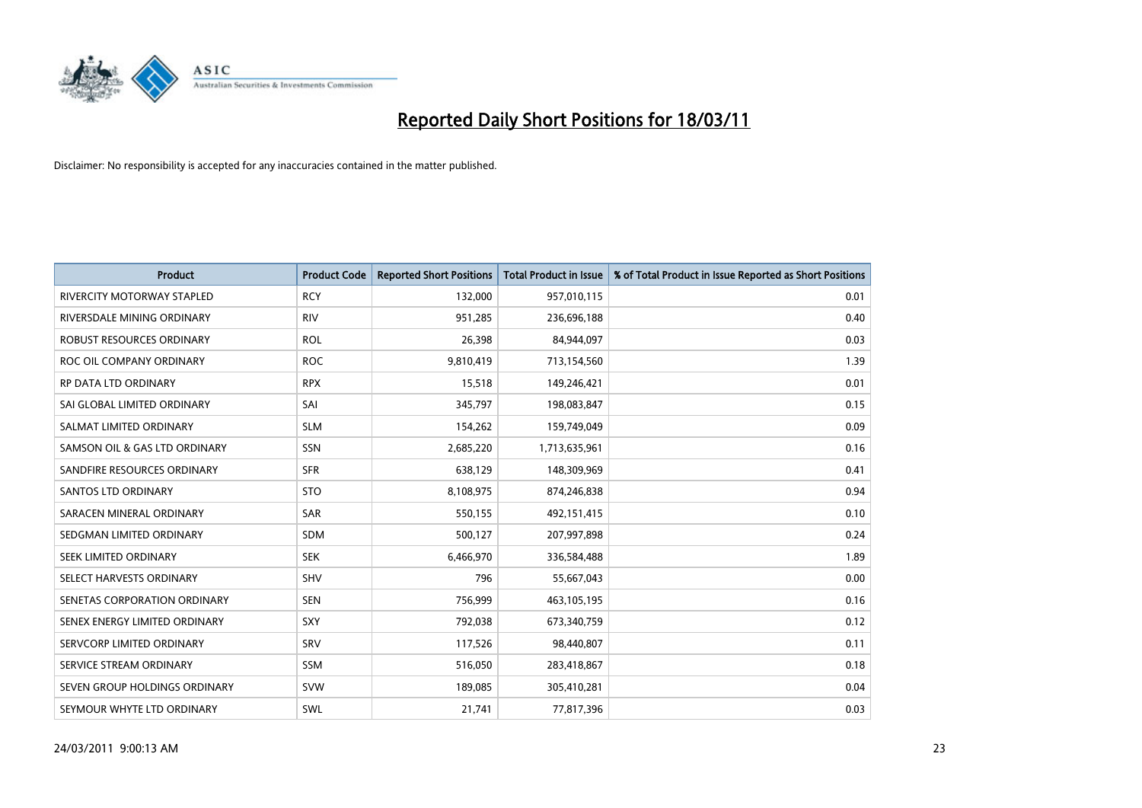

| <b>Product</b>                    | <b>Product Code</b> | <b>Reported Short Positions</b> | <b>Total Product in Issue</b> | % of Total Product in Issue Reported as Short Positions |
|-----------------------------------|---------------------|---------------------------------|-------------------------------|---------------------------------------------------------|
| <b>RIVERCITY MOTORWAY STAPLED</b> | <b>RCY</b>          | 132,000                         | 957,010,115                   | 0.01                                                    |
| RIVERSDALE MINING ORDINARY        | <b>RIV</b>          | 951,285                         | 236,696,188                   | 0.40                                                    |
| ROBUST RESOURCES ORDINARY         | <b>ROL</b>          | 26,398                          | 84,944,097                    | 0.03                                                    |
| ROC OIL COMPANY ORDINARY          | <b>ROC</b>          | 9,810,419                       | 713,154,560                   | 1.39                                                    |
| RP DATA LTD ORDINARY              | <b>RPX</b>          | 15,518                          | 149,246,421                   | 0.01                                                    |
| SAI GLOBAL LIMITED ORDINARY       | SAI                 | 345,797                         | 198,083,847                   | 0.15                                                    |
| SALMAT LIMITED ORDINARY           | <b>SLM</b>          | 154,262                         | 159,749,049                   | 0.09                                                    |
| SAMSON OIL & GAS LTD ORDINARY     | <b>SSN</b>          | 2,685,220                       | 1,713,635,961                 | 0.16                                                    |
| SANDFIRE RESOURCES ORDINARY       | <b>SFR</b>          | 638,129                         | 148,309,969                   | 0.41                                                    |
| SANTOS LTD ORDINARY               | <b>STO</b>          | 8,108,975                       | 874,246,838                   | 0.94                                                    |
| SARACEN MINERAL ORDINARY          | SAR                 | 550,155                         | 492,151,415                   | 0.10                                                    |
| SEDGMAN LIMITED ORDINARY          | <b>SDM</b>          | 500,127                         | 207,997,898                   | 0.24                                                    |
| SEEK LIMITED ORDINARY             | <b>SEK</b>          | 6,466,970                       | 336,584,488                   | 1.89                                                    |
| SELECT HARVESTS ORDINARY          | <b>SHV</b>          | 796                             | 55,667,043                    | 0.00                                                    |
| SENETAS CORPORATION ORDINARY      | <b>SEN</b>          | 756,999                         | 463,105,195                   | 0.16                                                    |
| SENEX ENERGY LIMITED ORDINARY     | <b>SXY</b>          | 792,038                         | 673,340,759                   | 0.12                                                    |
| SERVCORP LIMITED ORDINARY         | SRV                 | 117,526                         | 98,440,807                    | 0.11                                                    |
| SERVICE STREAM ORDINARY           | <b>SSM</b>          | 516,050                         | 283,418,867                   | 0.18                                                    |
| SEVEN GROUP HOLDINGS ORDINARY     | <b>SVW</b>          | 189,085                         | 305,410,281                   | 0.04                                                    |
| SEYMOUR WHYTE LTD ORDINARY        | SWL                 | 21,741                          | 77,817,396                    | 0.03                                                    |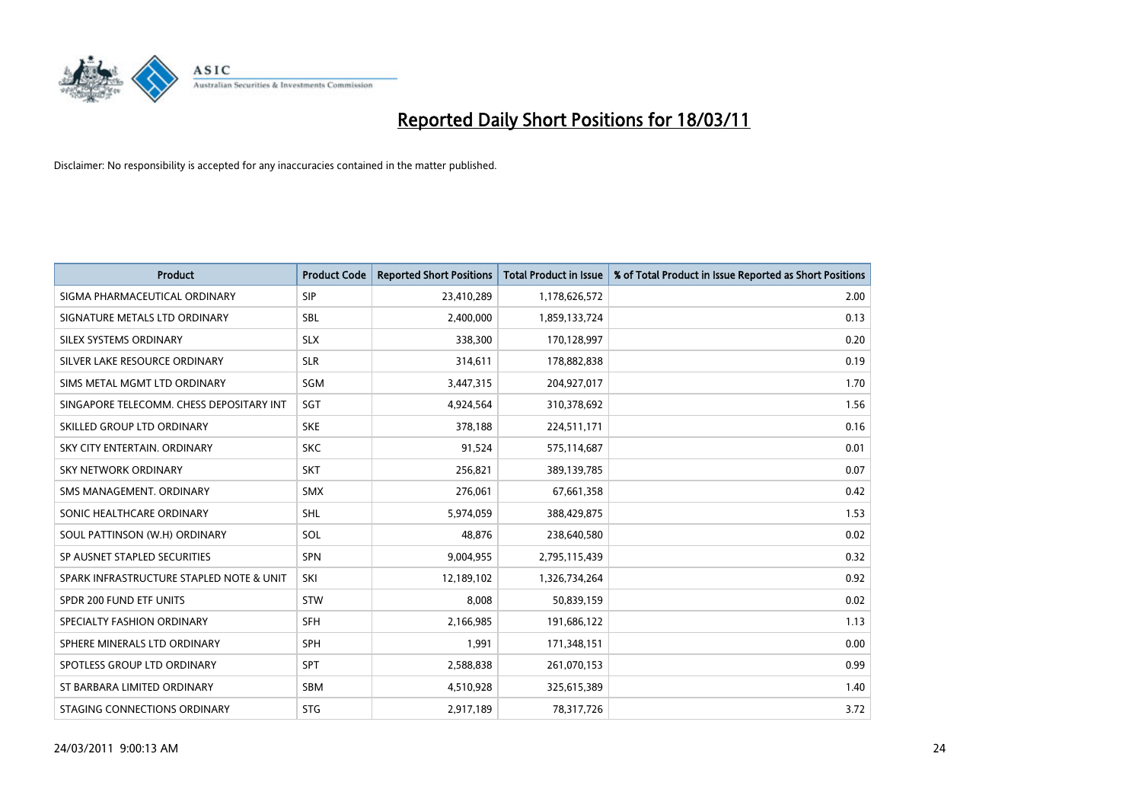

| <b>Product</b>                           | <b>Product Code</b> | <b>Reported Short Positions</b> | <b>Total Product in Issue</b> | % of Total Product in Issue Reported as Short Positions |
|------------------------------------------|---------------------|---------------------------------|-------------------------------|---------------------------------------------------------|
| SIGMA PHARMACEUTICAL ORDINARY            | SIP                 | 23,410,289                      | 1,178,626,572                 | 2.00                                                    |
| SIGNATURE METALS LTD ORDINARY            | <b>SBL</b>          | 2,400,000                       | 1,859,133,724                 | 0.13                                                    |
| SILEX SYSTEMS ORDINARY                   | <b>SLX</b>          | 338,300                         | 170,128,997                   | 0.20                                                    |
| SILVER LAKE RESOURCE ORDINARY            | <b>SLR</b>          | 314,611                         | 178,882,838                   | 0.19                                                    |
| SIMS METAL MGMT LTD ORDINARY             | SGM                 | 3,447,315                       | 204,927,017                   | 1.70                                                    |
| SINGAPORE TELECOMM. CHESS DEPOSITARY INT | SGT                 | 4,924,564                       | 310,378,692                   | 1.56                                                    |
| SKILLED GROUP LTD ORDINARY               | <b>SKE</b>          | 378,188                         | 224,511,171                   | 0.16                                                    |
| SKY CITY ENTERTAIN, ORDINARY             | <b>SKC</b>          | 91,524                          | 575,114,687                   | 0.01                                                    |
| <b>SKY NETWORK ORDINARY</b>              | <b>SKT</b>          | 256,821                         | 389,139,785                   | 0.07                                                    |
| SMS MANAGEMENT, ORDINARY                 | <b>SMX</b>          | 276,061                         | 67,661,358                    | 0.42                                                    |
| SONIC HEALTHCARE ORDINARY                | <b>SHL</b>          | 5,974,059                       | 388,429,875                   | 1.53                                                    |
| SOUL PATTINSON (W.H) ORDINARY            | SOL                 | 48,876                          | 238,640,580                   | 0.02                                                    |
| SP AUSNET STAPLED SECURITIES             | <b>SPN</b>          | 9,004,955                       | 2,795,115,439                 | 0.32                                                    |
| SPARK INFRASTRUCTURE STAPLED NOTE & UNIT | SKI                 | 12,189,102                      | 1,326,734,264                 | 0.92                                                    |
| SPDR 200 FUND ETF UNITS                  | <b>STW</b>          | 8,008                           | 50,839,159                    | 0.02                                                    |
| SPECIALTY FASHION ORDINARY               | <b>SFH</b>          | 2,166,985                       | 191,686,122                   | 1.13                                                    |
| SPHERE MINERALS LTD ORDINARY             | <b>SPH</b>          | 1,991                           | 171,348,151                   | 0.00                                                    |
| SPOTLESS GROUP LTD ORDINARY              | <b>SPT</b>          | 2,588,838                       | 261,070,153                   | 0.99                                                    |
| ST BARBARA LIMITED ORDINARY              | <b>SBM</b>          | 4,510,928                       | 325,615,389                   | 1.40                                                    |
| STAGING CONNECTIONS ORDINARY             | <b>STG</b>          | 2,917,189                       | 78,317,726                    | 3.72                                                    |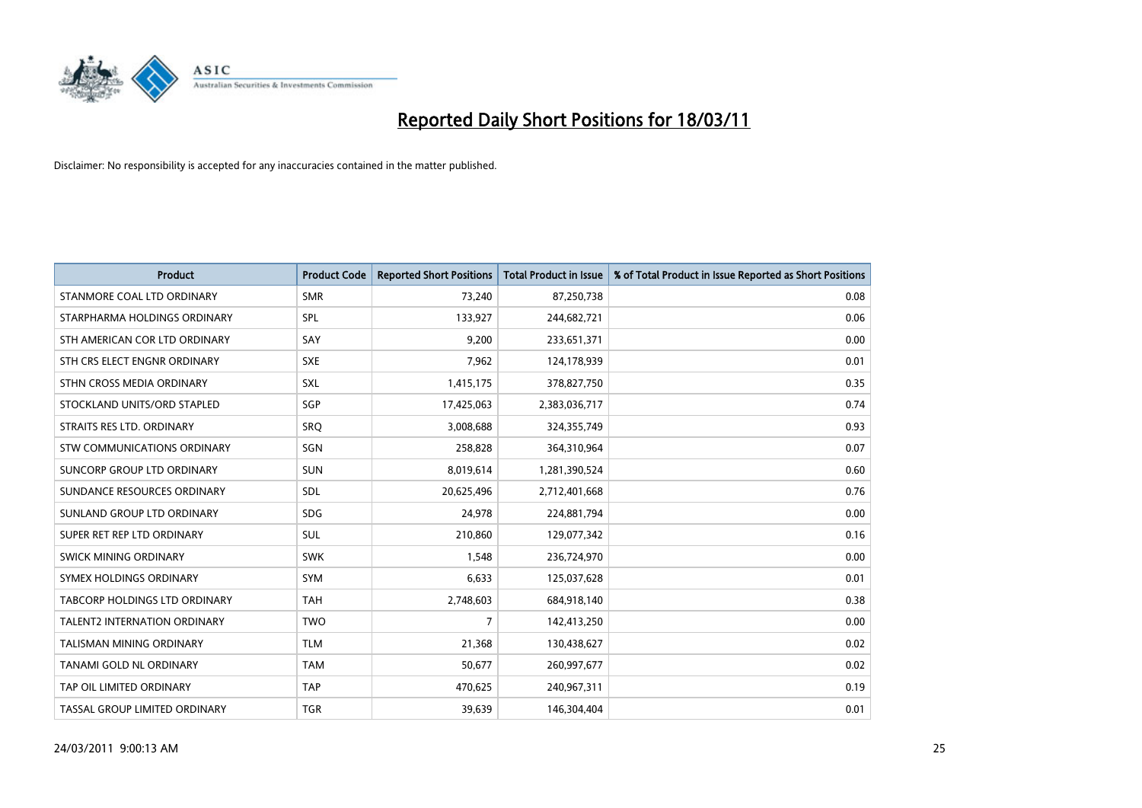

| <b>Product</b>                      | <b>Product Code</b> | <b>Reported Short Positions</b> | Total Product in Issue | % of Total Product in Issue Reported as Short Positions |
|-------------------------------------|---------------------|---------------------------------|------------------------|---------------------------------------------------------|
| STANMORE COAL LTD ORDINARY          | <b>SMR</b>          | 73,240                          | 87,250,738             | 0.08                                                    |
| STARPHARMA HOLDINGS ORDINARY        | SPL                 | 133,927                         | 244,682,721            | 0.06                                                    |
| STH AMERICAN COR LTD ORDINARY       | SAY                 | 9,200                           | 233,651,371            | 0.00                                                    |
| STH CRS ELECT ENGNR ORDINARY        | <b>SXE</b>          | 7,962                           | 124,178,939            | 0.01                                                    |
| STHN CROSS MEDIA ORDINARY           | <b>SXL</b>          | 1,415,175                       | 378,827,750            | 0.35                                                    |
| STOCKLAND UNITS/ORD STAPLED         | SGP                 | 17,425,063                      | 2,383,036,717          | 0.74                                                    |
| STRAITS RES LTD. ORDINARY           | SRO                 | 3,008,688                       | 324,355,749            | 0.93                                                    |
| STW COMMUNICATIONS ORDINARY         | SGN                 | 258,828                         | 364,310,964            | 0.07                                                    |
| SUNCORP GROUP LTD ORDINARY          | <b>SUN</b>          | 8,019,614                       | 1,281,390,524          | 0.60                                                    |
| SUNDANCE RESOURCES ORDINARY         | SDL                 | 20,625,496                      | 2,712,401,668          | 0.76                                                    |
| SUNLAND GROUP LTD ORDINARY          | <b>SDG</b>          | 24,978                          | 224,881,794            | 0.00                                                    |
| SUPER RET REP LTD ORDINARY          | SUL                 | 210,860                         | 129,077,342            | 0.16                                                    |
| SWICK MINING ORDINARY               | <b>SWK</b>          | 1,548                           | 236,724,970            | 0.00                                                    |
| SYMEX HOLDINGS ORDINARY             | <b>SYM</b>          | 6,633                           | 125,037,628            | 0.01                                                    |
| TABCORP HOLDINGS LTD ORDINARY       | <b>TAH</b>          | 2,748,603                       | 684,918,140            | 0.38                                                    |
| <b>TALENT2 INTERNATION ORDINARY</b> | <b>TWO</b>          | 7                               | 142,413,250            | 0.00                                                    |
| TALISMAN MINING ORDINARY            | <b>TLM</b>          | 21,368                          | 130,438,627            | 0.02                                                    |
| TANAMI GOLD NL ORDINARY             | <b>TAM</b>          | 50,677                          | 260,997,677            | 0.02                                                    |
| TAP OIL LIMITED ORDINARY            | <b>TAP</b>          | 470,625                         | 240,967,311            | 0.19                                                    |
| TASSAL GROUP LIMITED ORDINARY       | <b>TGR</b>          | 39,639                          | 146,304,404            | 0.01                                                    |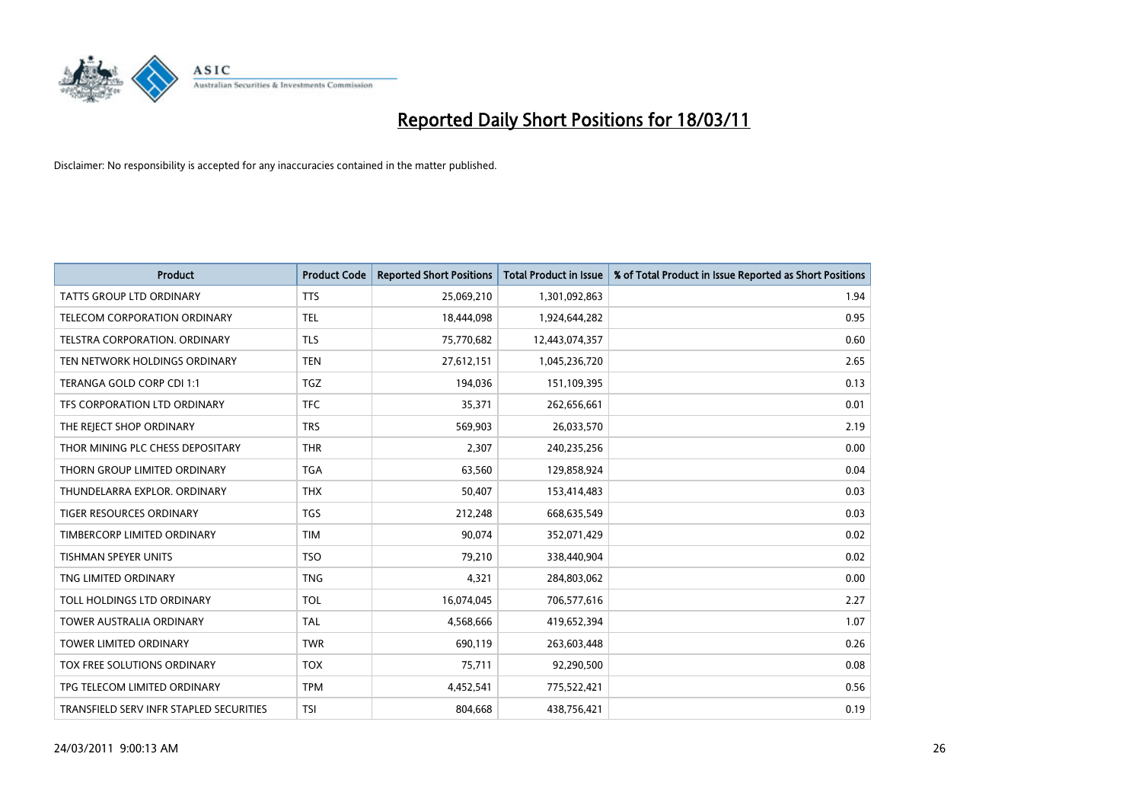

| <b>Product</b>                          | <b>Product Code</b> | <b>Reported Short Positions</b> | Total Product in Issue | % of Total Product in Issue Reported as Short Positions |
|-----------------------------------------|---------------------|---------------------------------|------------------------|---------------------------------------------------------|
| <b>TATTS GROUP LTD ORDINARY</b>         | <b>TTS</b>          | 25,069,210                      | 1,301,092,863          | 1.94                                                    |
| TELECOM CORPORATION ORDINARY            | <b>TEL</b>          | 18,444,098                      | 1,924,644,282          | 0.95                                                    |
| <b>TELSTRA CORPORATION, ORDINARY</b>    | <b>TLS</b>          | 75,770,682                      | 12,443,074,357         | 0.60                                                    |
| TEN NETWORK HOLDINGS ORDINARY           | <b>TEN</b>          | 27,612,151                      | 1,045,236,720          | 2.65                                                    |
| TERANGA GOLD CORP CDI 1:1               | TGZ                 | 194,036                         | 151,109,395            | 0.13                                                    |
| TFS CORPORATION LTD ORDINARY            | <b>TFC</b>          | 35.371                          | 262,656,661            | 0.01                                                    |
| THE REJECT SHOP ORDINARY                | <b>TRS</b>          | 569,903                         | 26,033,570             | 2.19                                                    |
| THOR MINING PLC CHESS DEPOSITARY        | <b>THR</b>          | 2,307                           | 240,235,256            | 0.00                                                    |
| THORN GROUP LIMITED ORDINARY            | <b>TGA</b>          | 63,560                          | 129,858,924            | 0.04                                                    |
| THUNDELARRA EXPLOR, ORDINARY            | <b>THX</b>          | 50,407                          | 153,414,483            | 0.03                                                    |
| TIGER RESOURCES ORDINARY                | <b>TGS</b>          | 212,248                         | 668,635,549            | 0.03                                                    |
| TIMBERCORP LIMITED ORDINARY             | <b>TIM</b>          | 90,074                          | 352,071,429            | 0.02                                                    |
| <b>TISHMAN SPEYER UNITS</b>             | <b>TSO</b>          | 79,210                          | 338,440,904            | 0.02                                                    |
| TNG LIMITED ORDINARY                    | <b>TNG</b>          | 4,321                           | 284,803,062            | 0.00                                                    |
| TOLL HOLDINGS LTD ORDINARY              | <b>TOL</b>          | 16,074,045                      | 706,577,616            | 2.27                                                    |
| <b>TOWER AUSTRALIA ORDINARY</b>         | <b>TAL</b>          | 4,568,666                       | 419,652,394            | 1.07                                                    |
| <b>TOWER LIMITED ORDINARY</b>           | <b>TWR</b>          | 690,119                         | 263,603,448            | 0.26                                                    |
| TOX FREE SOLUTIONS ORDINARY             | <b>TOX</b>          | 75,711                          | 92,290,500             | 0.08                                                    |
| TPG TELECOM LIMITED ORDINARY            | <b>TPM</b>          | 4,452,541                       | 775,522,421            | 0.56                                                    |
| TRANSFIELD SERV INFR STAPLED SECURITIES | <b>TSI</b>          | 804,668                         | 438,756,421            | 0.19                                                    |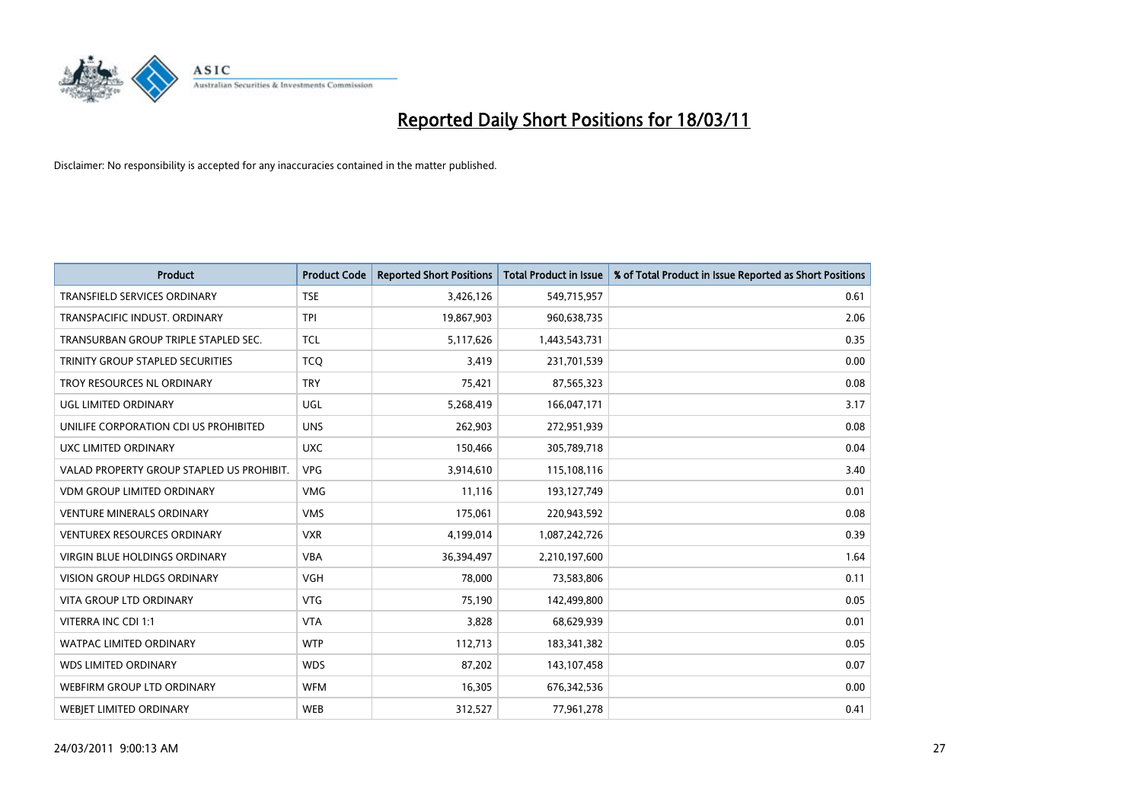

| <b>Product</b>                            | <b>Product Code</b> | <b>Reported Short Positions</b> | Total Product in Issue | % of Total Product in Issue Reported as Short Positions |
|-------------------------------------------|---------------------|---------------------------------|------------------------|---------------------------------------------------------|
| <b>TRANSFIELD SERVICES ORDINARY</b>       | <b>TSE</b>          | 3,426,126                       | 549,715,957            | 0.61                                                    |
| TRANSPACIFIC INDUST. ORDINARY             | <b>TPI</b>          | 19,867,903                      | 960,638,735            | 2.06                                                    |
| TRANSURBAN GROUP TRIPLE STAPLED SEC.      | <b>TCL</b>          | 5,117,626                       | 1,443,543,731          | 0.35                                                    |
| TRINITY GROUP STAPLED SECURITIES          | <b>TCQ</b>          | 3,419                           | 231,701,539            | 0.00                                                    |
| TROY RESOURCES NL ORDINARY                | <b>TRY</b>          | 75,421                          | 87,565,323             | 0.08                                                    |
| UGL LIMITED ORDINARY                      | <b>UGL</b>          | 5,268,419                       | 166,047,171            | 3.17                                                    |
| UNILIFE CORPORATION CDI US PROHIBITED     | <b>UNS</b>          | 262,903                         | 272,951,939            | 0.08                                                    |
| UXC LIMITED ORDINARY                      | <b>UXC</b>          | 150,466                         | 305,789,718            | 0.04                                                    |
| VALAD PROPERTY GROUP STAPLED US PROHIBIT. | <b>VPG</b>          | 3,914,610                       | 115,108,116            | 3.40                                                    |
| <b>VDM GROUP LIMITED ORDINARY</b>         | <b>VMG</b>          | 11.116                          | 193,127,749            | 0.01                                                    |
| <b>VENTURE MINERALS ORDINARY</b>          | <b>VMS</b>          | 175,061                         | 220,943,592            | 0.08                                                    |
| VENTUREX RESOURCES ORDINARY               | <b>VXR</b>          | 4,199,014                       | 1,087,242,726          | 0.39                                                    |
| <b>VIRGIN BLUE HOLDINGS ORDINARY</b>      | <b>VBA</b>          | 36,394,497                      | 2,210,197,600          | 1.64                                                    |
| <b>VISION GROUP HLDGS ORDINARY</b>        | <b>VGH</b>          | 78.000                          | 73,583,806             | 0.11                                                    |
| VITA GROUP LTD ORDINARY                   | <b>VTG</b>          | 75,190                          | 142,499,800            | 0.05                                                    |
| VITERRA INC CDI 1:1                       | <b>VTA</b>          | 3.828                           | 68,629,939             | 0.01                                                    |
| <b>WATPAC LIMITED ORDINARY</b>            | <b>WTP</b>          | 112,713                         | 183,341,382            | 0.05                                                    |
| WDS LIMITED ORDINARY                      | <b>WDS</b>          | 87,202                          | 143,107,458            | 0.07                                                    |
| WEBFIRM GROUP LTD ORDINARY                | <b>WFM</b>          | 16,305                          | 676,342,536            | 0.00                                                    |
| <b>WEBIET LIMITED ORDINARY</b>            | <b>WEB</b>          | 312,527                         | 77,961,278             | 0.41                                                    |